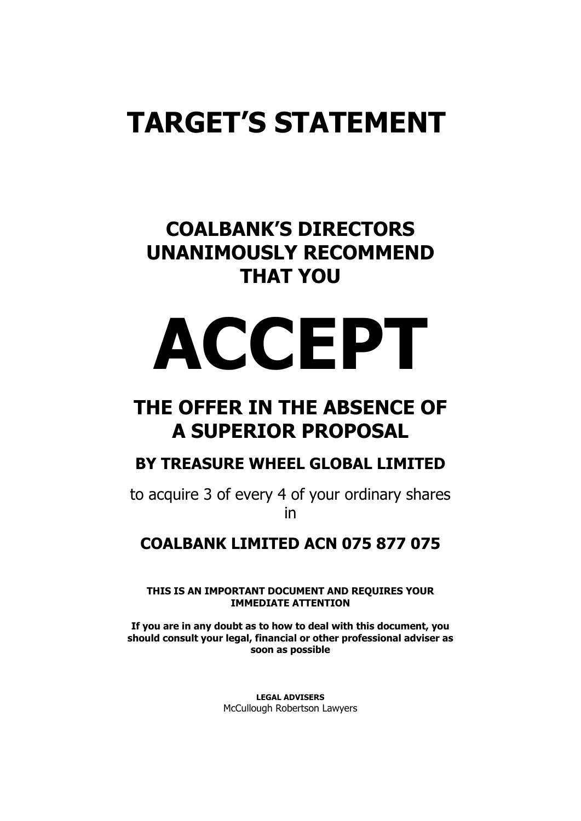## **TARGET'S STATEMENT**

## **COALBANK'S DIRECTORS UNANIMOUSLY RECOMMEND THAT YOU**

# **ACCEPT**

## **THE OFFER IN THE ABSENCE OF A SUPERIOR PROPOSAL**

## **BY TREASURE WHEEL GLOBAL LIMITED**

to acquire 3 of every 4 of your ordinary shares in

## **COALBANK LIMITED ACN 075 877 075**

**THIS IS AN IMPORTANT DOCUMENT AND REQUIRES YOUR IMMEDIATE ATTENTION**

**If you are in any doubt as to how to deal with this document, you should consult your legal, financial or other professional adviser as soon as possible**

> **LEGAL ADVISERS** McCullough Robertson Lawyers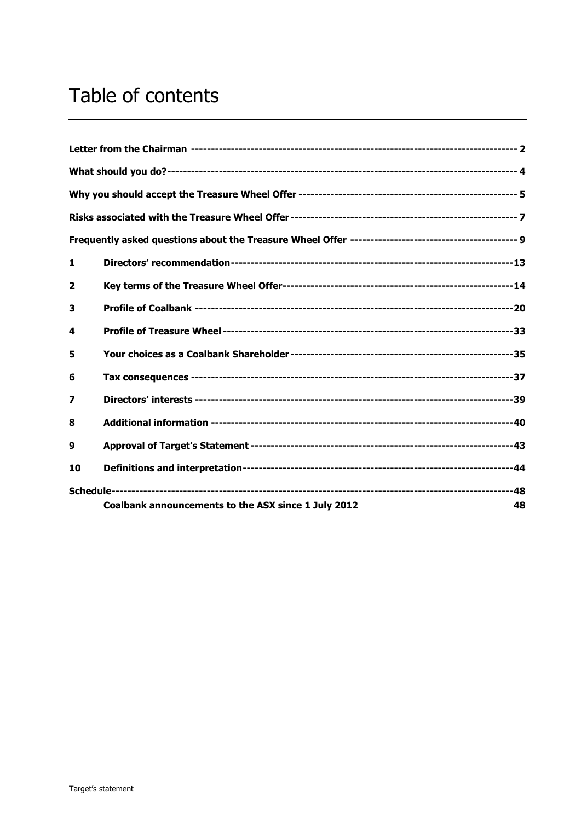## Table of contents

| 1              |                                                           |
|----------------|-----------------------------------------------------------|
| $\overline{2}$ |                                                           |
| 3              |                                                           |
| 4              |                                                           |
| 5              |                                                           |
| 6              |                                                           |
| 7              |                                                           |
| 8              |                                                           |
| 9              |                                                           |
| 10             |                                                           |
|                | Coalbank announcements to the ASX since 1 July 2012<br>48 |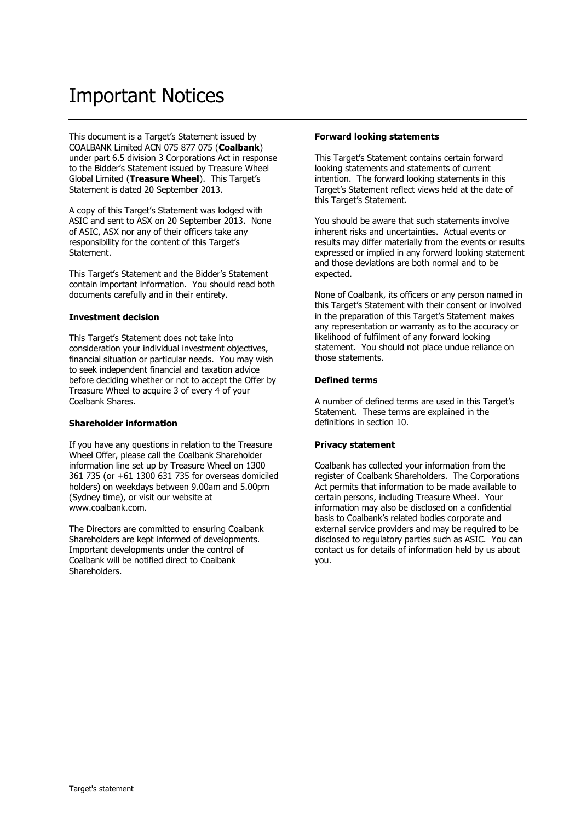## Important Notices

This document is a Target's Statement issued by COALBANK Limited ACN 075 877 075 (**Coalbank**) under part 6.5 division 3 Corporations Act in response to the Bidder's Statement issued by Treasure Wheel Global Limited (**Treasure Wheel**). This Target's Statement is dated 20 September 2013.

A copy of this Target's Statement was lodged with ASIC and sent to ASX on 20 September 2013. None of ASIC, ASX nor any of their officers take any responsibility for the content of this Target's Statement.

This Target's Statement and the Bidder's Statement contain important information. You should read both documents carefully and in their entirety.

#### **Investment decision**

This Target's Statement does not take into consideration your individual investment objectives, financial situation or particular needs. You may wish to seek independent financial and taxation advice before deciding whether or not to accept the Offer by Treasure Wheel to acquire 3 of every 4 of your Coalbank Shares.

#### **Shareholder information**

If you have any questions in relation to the Treasure Wheel Offer, please call the Coalbank Shareholder information line set up by Treasure Wheel on 1300 361 735 (or +61 1300 631 735 for overseas domiciled holders) on weekdays between 9.00am and 5.00pm (Sydney time), or visit our website at www.coalbank.com.

The Directors are committed to ensuring Coalbank Shareholders are kept informed of developments. Important developments under the control of Coalbank will be notified direct to Coalbank **Shareholders** 

#### **Forward looking statements**

This Target's Statement contains certain forward looking statements and statements of current intention. The forward looking statements in this Target's Statement reflect views held at the date of this Target's Statement.

You should be aware that such statements involve inherent risks and uncertainties. Actual events or results may differ materially from the events or results expressed or implied in any forward looking statement and those deviations are both normal and to be expected.

None of Coalbank, its officers or any person named in this Target's Statement with their consent or involved in the preparation of this Target's Statement makes any representation or warranty as to the accuracy or likelihood of fulfilment of any forward looking statement. You should not place undue reliance on those statements.

#### **Defined terms**

A number of defined terms are used in this Target's Statement. These terms are explained in the definitions in section [10.](#page-45-0)

#### **Privacy statement**

Coalbank has collected your information from the register of Coalbank Shareholders. The Corporations Act permits that information to be made available to certain persons, including Treasure Wheel. Your information may also be disclosed on a confidential basis to Coalbank's related bodies corporate and external service providers and may be required to be disclosed to regulatory parties such as ASIC. You can contact us for details of information held by us about you.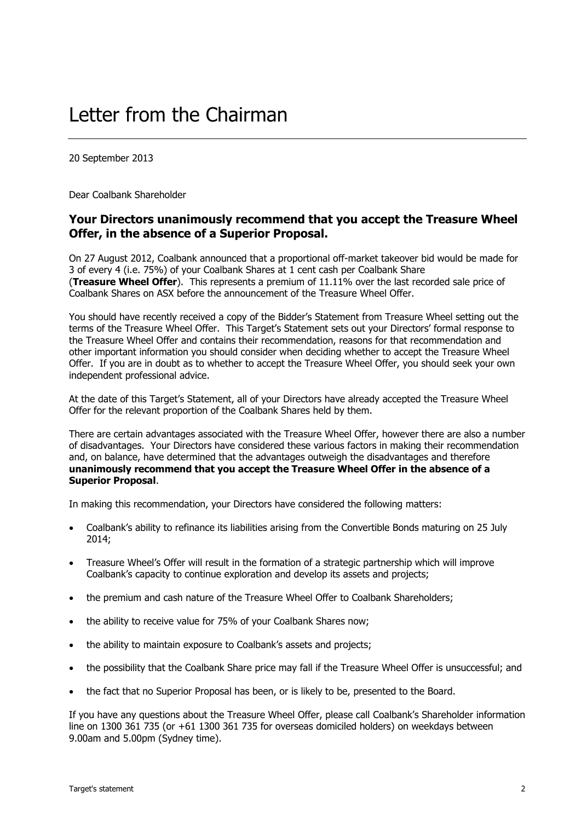20 September 2013

Dear Coalbank Shareholder

#### **Your Directors unanimously recommend that you accept the Treasure Wheel Offer, in the absence of a Superior Proposal.**

On 27 August 2012, Coalbank announced that a proportional off-market takeover bid would be made for 3 of every 4 (i.e. 75%) of your Coalbank Shares at 1 cent cash per Coalbank Share (**Treasure Wheel Offer**). This represents a premium of 11.11% over the last recorded sale price of Coalbank Shares on ASX before the announcement of the Treasure Wheel Offer.

You should have recently received a copy of the Bidder's Statement from Treasure Wheel setting out the terms of the Treasure Wheel Offer. This Target's Statement sets out your Directors' formal response to the Treasure Wheel Offer and contains their recommendation, reasons for that recommendation and other important information you should consider when deciding whether to accept the Treasure Wheel Offer. If you are in doubt as to whether to accept the Treasure Wheel Offer, you should seek your own independent professional advice.

At the date of this Target's Statement, all of your Directors have already accepted the Treasure Wheel Offer for the relevant proportion of the Coalbank Shares held by them.

There are certain advantages associated with the Treasure Wheel Offer, however there are also a number of disadvantages. Your Directors have considered these various factors in making their recommendation and, on balance, have determined that the advantages outweigh the disadvantages and therefore **unanimously recommend that you accept the Treasure Wheel Offer in the absence of a Superior Proposal**.

In making this recommendation, your Directors have considered the following matters:

- Coalbank's ability to refinance its liabilities arising from the Convertible Bonds maturing on 25 July 2014;
- Treasure Wheel's Offer will result in the formation of a strategic partnership which will improve Coalbank's capacity to continue exploration and develop its assets and projects;
- the premium and cash nature of the Treasure Wheel Offer to Coalbank Shareholders;
- the ability to receive value for 75% of your Coalbank Shares now;
- the ability to maintain exposure to Coalbank's assets and projects;
- the possibility that the Coalbank Share price may fall if the Treasure Wheel Offer is unsuccessful; and
- the fact that no Superior Proposal has been, or is likely to be, presented to the Board.

If you have any questions about the Treasure Wheel Offer, please call Coalbank's Shareholder information line on 1300 361 735 (or +61 1300 361 735 for overseas domiciled holders) on weekdays between 9.00am and 5.00pm (Sydney time).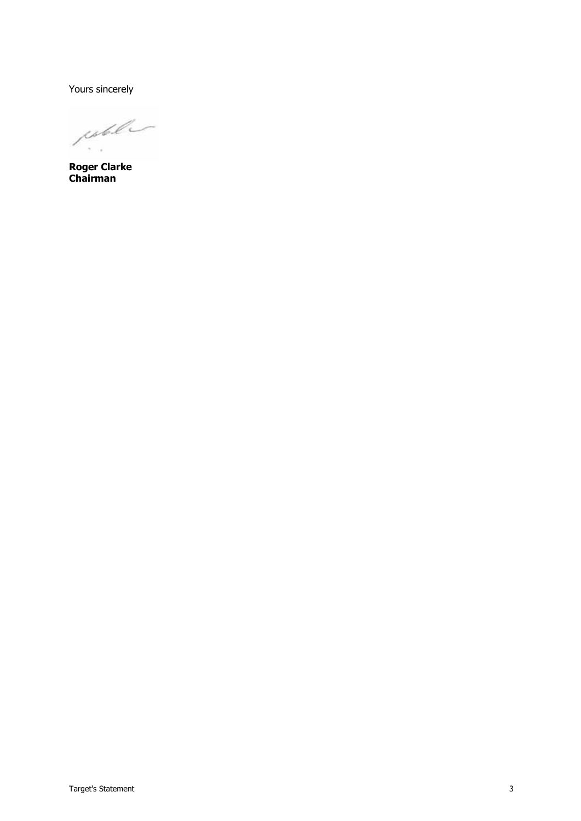Yours sincerely

juble  $\sigma = \infty$ 

**Roger Clarke Chairman**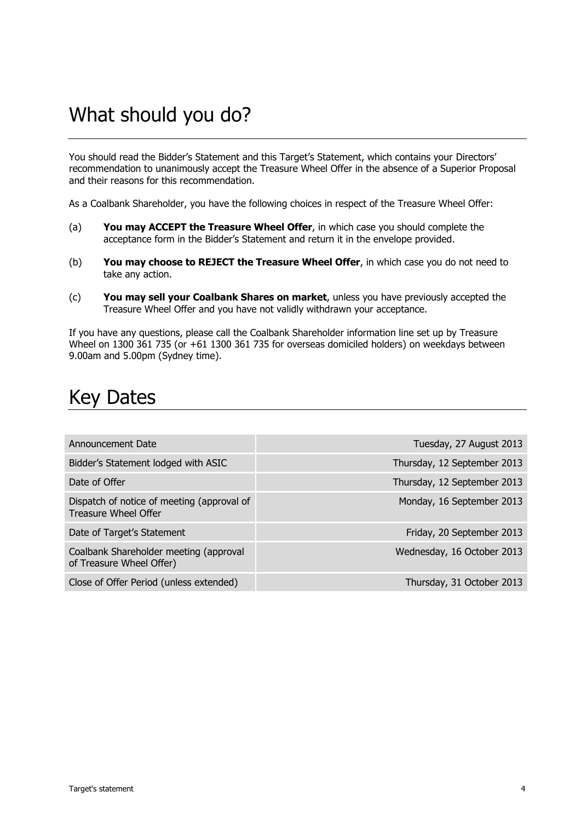## What should you do?

You should read the Bidder's Statement and this Target's Statement, which contains your Directors' recommendation to unanimously accept the Treasure Wheel Offer in the absence of a Superior Proposal and their reasons for this recommendation.

As a Coalbank Shareholder, you have the following choices in respect of the Treasure Wheel Offer:

- (a) **You may ACCEPT the Treasure Wheel Offer**, in which case you should complete the acceptance form in the Bidder's Statement and return it in the envelope provided.
- (b) **You may choose to REJECT the Treasure Wheel Offer**, in which case you do not need to take any action.
- (c) **You may sell your Coalbank Shares on market**, unless you have previously accepted the Treasure Wheel Offer and you have not validly withdrawn your acceptance.

If you have any questions, please call the Coalbank Shareholder information line set up by Treasure Wheel on 1300 361 735 (or +61 1300 361 735 for overseas domiciled holders) on weekdays between 9.00am and 5.00pm (Sydney time).

## Key Dates

| Announcement Date                                                  | Tuesday, 27 August 2013     |
|--------------------------------------------------------------------|-----------------------------|
| Bidder's Statement lodged with ASIC                                | Thursday, 12 September 2013 |
| Date of Offer                                                      | Thursday, 12 September 2013 |
| Dispatch of notice of meeting (approval of<br>Treasure Wheel Offer | Monday, 16 September 2013   |
| Date of Target's Statement                                         | Friday, 20 September 2013   |
| Coalbank Shareholder meeting (approval<br>of Treasure Wheel Offer) | Wednesday, 16 October 2013  |
| Close of Offer Period (unless extended)                            | Thursday, 31 October 2013   |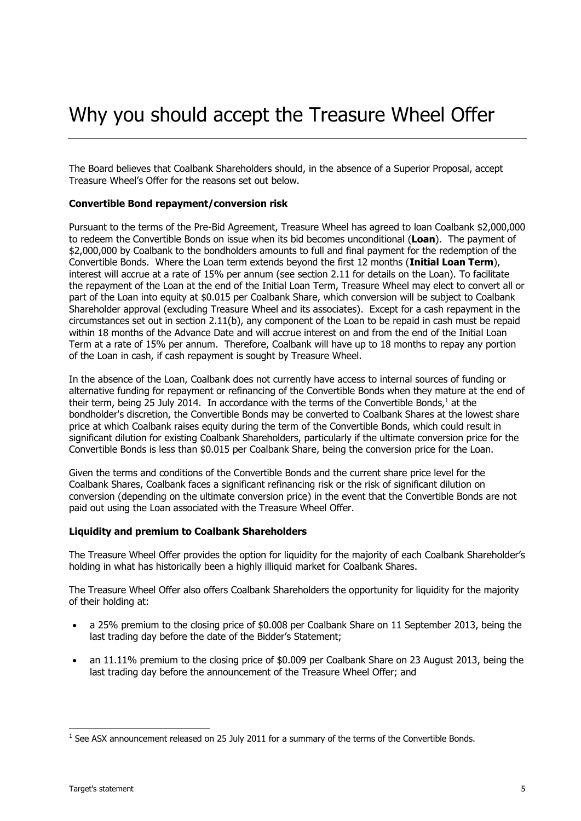The Board believes that Coalbank Shareholders should, in the absence of a Superior Proposal, accept Treasure Wheel's Offer for the reasons set out below.

#### **Convertible Bond repayment/conversion risk**

Pursuant to the terms of the Pre-Bid Agreement, Treasure Wheel has agreed to loan Coalbank \$2,000,000 to redeem the Convertible Bonds on issue when its bid becomes unconditional (**Loan**). The payment of \$2,000,000 by Coalbank to the bondholders amounts to full and final payment for the redemption of the Convertible Bonds. Where the Loan term extends beyond the first 12 months (**Initial Loan Term**), interest will accrue at a rate of 15% per annum (see section [2.11](#page-18-0) for details on the Loan). To facilitate the repayment of the Loan at the end of the Initial Loan Term, Treasure Wheel may elect to convert all or part of the Loan into equity at \$0.015 per Coalbank Share, which conversion will be subject to Coalbank Shareholder approval (excluding Treasure Wheel and its associates). Except for a cash repayment in the circumstances set out in section [2.11\(b\),](#page-19-0) any component of the Loan to be repaid in cash must be repaid within 18 months of the Advance Date and will accrue interest on and from the end of the Initial Loan Term at a rate of 15% per annum. Therefore, Coalbank will have up to 18 months to repay any portion of the Loan in cash, if cash repayment is sought by Treasure Wheel.

In the absence of the Loan, Coalbank does not currently have access to internal sources of funding or alternative funding for repayment or refinancing of the Convertible Bonds when they mature at the end of their term, being 25 July 2014. In accordance with the terms of the Convertible Bonds, $^1$  at the bondholder's discretion, the Convertible Bonds may be converted to Coalbank Shares at the lowest share price at which Coalbank raises equity during the term of the Convertible Bonds, which could result in significant dilution for existing Coalbank Shareholders, particularly if the ultimate conversion price for the Convertible Bonds is less than \$0.015 per Coalbank Share, being the conversion price for the Loan.

Given the terms and conditions of the Convertible Bonds and the current share price level for the Coalbank Shares, Coalbank faces a significant refinancing risk or the risk of significant dilution on conversion (depending on the ultimate conversion price) in the event that the Convertible Bonds are not paid out using the Loan associated with the Treasure Wheel Offer.

#### **Liquidity and premium to Coalbank Shareholders**

The Treasure Wheel Offer provides the option for liquidity for the majority of each Coalbank Shareholder's holding in what has historically been a highly illiquid market for Coalbank Shares.

The Treasure Wheel Offer also offers Coalbank Shareholders the opportunity for liquidity for the majority of their holding at:

- a 25% premium to the closing price of \$0.008 per Coalbank Share on 11 September 2013, being the last trading day before the date of the Bidder's Statement;
- an 11.11% premium to the closing price of \$0.009 per Coalbank Share on 23 August 2013, being the last trading day before the announcement of the Treasure Wheel Offer; and

-

 $<sup>1</sup>$  See ASX announcement released on 25 July 2011 for a summary of the terms of the Convertible Bonds.</sup>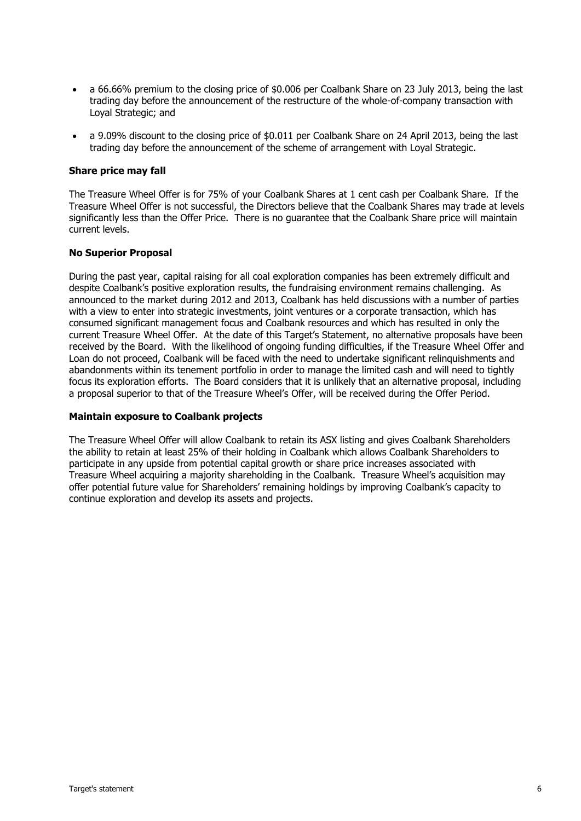- a 66.66% premium to the closing price of \$0.006 per Coalbank Share on 23 July 2013, being the last trading day before the announcement of the restructure of the whole-of-company transaction with Loyal Strategic; and
- a 9.09% discount to the closing price of \$0.011 per Coalbank Share on 24 April 2013, being the last trading day before the announcement of the scheme of arrangement with Loyal Strategic.

#### **Share price may fall**

The Treasure Wheel Offer is for 75% of your Coalbank Shares at 1 cent cash per Coalbank Share. If the Treasure Wheel Offer is not successful, the Directors believe that the Coalbank Shares may trade at levels significantly less than the Offer Price. There is no guarantee that the Coalbank Share price will maintain current levels.

#### **No Superior Proposal**

During the past year, capital raising for all coal exploration companies has been extremely difficult and despite Coalbank's positive exploration results, the fundraising environment remains challenging. As announced to the market during 2012 and 2013, Coalbank has held discussions with a number of parties with a view to enter into strategic investments, joint ventures or a corporate transaction, which has consumed significant management focus and Coalbank resources and which has resulted in only the current Treasure Wheel Offer. At the date of this Target's Statement, no alternative proposals have been received by the Board. With the likelihood of ongoing funding difficulties, if the Treasure Wheel Offer and Loan do not proceed, Coalbank will be faced with the need to undertake significant relinquishments and abandonments within its tenement portfolio in order to manage the limited cash and will need to tightly focus its exploration efforts. The Board considers that it is unlikely that an alternative proposal, including a proposal superior to that of the Treasure Wheel's Offer, will be received during the Offer Period.

#### **Maintain exposure to Coalbank projects**

The Treasure Wheel Offer will allow Coalbank to retain its ASX listing and gives Coalbank Shareholders the ability to retain at least 25% of their holding in Coalbank which allows Coalbank Shareholders to participate in any upside from potential capital growth or share price increases associated with Treasure Wheel acquiring a majority shareholding in the Coalbank. Treasure Wheel's acquisition may offer potential future value for Shareholders' remaining holdings by improving Coalbank's capacity to continue exploration and develop its assets and projects.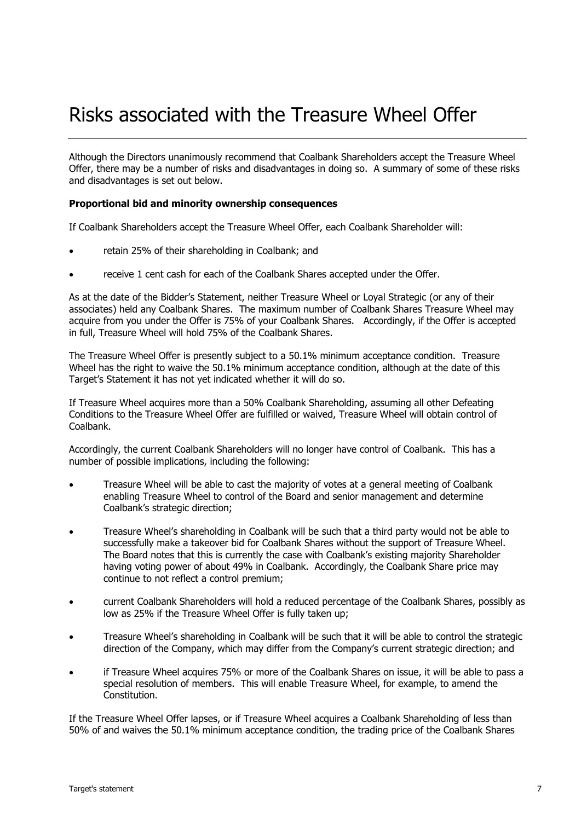## Risks associated with the Treasure Wheel Offer

Although the Directors unanimously recommend that Coalbank Shareholders accept the Treasure Wheel Offer, there may be a number of risks and disadvantages in doing so. A summary of some of these risks and disadvantages is set out below.

#### **Proportional bid and minority ownership consequences**

If Coalbank Shareholders accept the Treasure Wheel Offer, each Coalbank Shareholder will:

- retain 25% of their shareholding in Coalbank; and
- receive 1 cent cash for each of the Coalbank Shares accepted under the Offer.

As at the date of the Bidder's Statement, neither Treasure Wheel or Loyal Strategic (or any of their associates) held any Coalbank Shares. The maximum number of Coalbank Shares Treasure Wheel may acquire from you under the Offer is 75% of your Coalbank Shares. Accordingly, if the Offer is accepted in full, Treasure Wheel will hold 75% of the Coalbank Shares.

The Treasure Wheel Offer is presently subject to a 50.1% minimum acceptance condition. Treasure Wheel has the right to waive the 50.1% minimum acceptance condition, although at the date of this Target's Statement it has not yet indicated whether it will do so.

If Treasure Wheel acquires more than a 50% Coalbank Shareholding, assuming all other Defeating Conditions to the Treasure Wheel Offer are fulfilled or waived, Treasure Wheel will obtain control of Coalbank.

Accordingly, the current Coalbank Shareholders will no longer have control of Coalbank. This has a number of possible implications, including the following:

- Treasure Wheel will be able to cast the majority of votes at a general meeting of Coalbank enabling Treasure Wheel to control of the Board and senior management and determine Coalbank's strategic direction;
- Treasure Wheel's shareholding in Coalbank will be such that a third party would not be able to successfully make a takeover bid for Coalbank Shares without the support of Treasure Wheel. The Board notes that this is currently the case with Coalbank's existing majority Shareholder having voting power of about 49% in Coalbank. Accordingly, the Coalbank Share price may continue to not reflect a control premium;
- current Coalbank Shareholders will hold a reduced percentage of the Coalbank Shares, possibly as low as 25% if the Treasure Wheel Offer is fully taken up;
- Treasure Wheel's shareholding in Coalbank will be such that it will be able to control the strategic direction of the Company, which may differ from the Company's current strategic direction; and
- if Treasure Wheel acquires 75% or more of the Coalbank Shares on issue, it will be able to pass a special resolution of members. This will enable Treasure Wheel, for example, to amend the Constitution.

If the Treasure Wheel Offer lapses, or if Treasure Wheel acquires a Coalbank Shareholding of less than 50% of and waives the 50.1% minimum acceptance condition, the trading price of the Coalbank Shares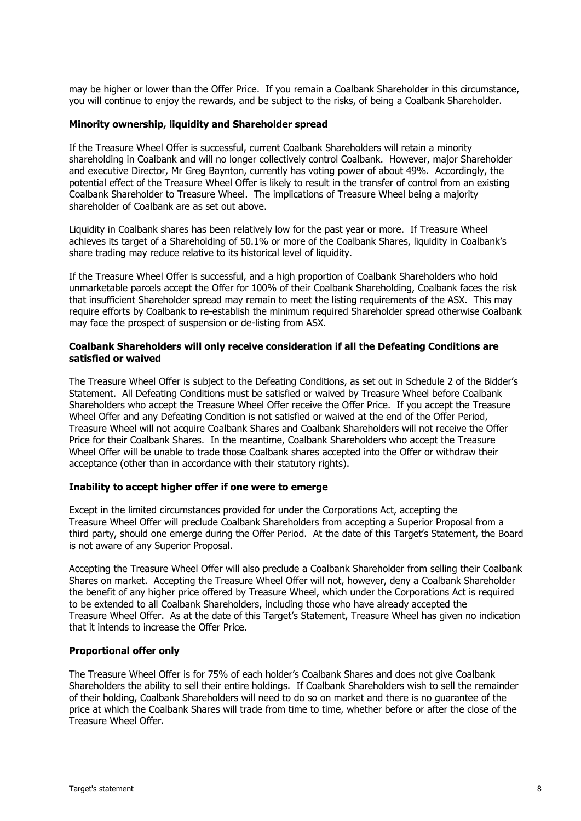may be higher or lower than the Offer Price. If you remain a Coalbank Shareholder in this circumstance, you will continue to enjoy the rewards, and be subject to the risks, of being a Coalbank Shareholder.

#### **Minority ownership, liquidity and Shareholder spread**

If the Treasure Wheel Offer is successful, current Coalbank Shareholders will retain a minority shareholding in Coalbank and will no longer collectively control Coalbank. However, major Shareholder and executive Director, Mr Greg Baynton, currently has voting power of about 49%. Accordingly, the potential effect of the Treasure Wheel Offer is likely to result in the transfer of control from an existing Coalbank Shareholder to Treasure Wheel. The implications of Treasure Wheel being a majority shareholder of Coalbank are as set out above.

Liquidity in Coalbank shares has been relatively low for the past year or more. If Treasure Wheel achieves its target of a Shareholding of 50.1% or more of the Coalbank Shares, liquidity in Coalbank's share trading may reduce relative to its historical level of liquidity.

If the Treasure Wheel Offer is successful, and a high proportion of Coalbank Shareholders who hold unmarketable parcels accept the Offer for 100% of their Coalbank Shareholding, Coalbank faces the risk that insufficient Shareholder spread may remain to meet the listing requirements of the ASX. This may require efforts by Coalbank to re-establish the minimum required Shareholder spread otherwise Coalbank may face the prospect of suspension or de-listing from ASX.

#### **Coalbank Shareholders will only receive consideration if all the Defeating Conditions are satisfied or waived**

The Treasure Wheel Offer is subject to the Defeating Conditions, as set out in Schedule 2 of the Bidder's Statement. All Defeating Conditions must be satisfied or waived by Treasure Wheel before Coalbank Shareholders who accept the Treasure Wheel Offer receive the Offer Price. If you accept the Treasure Wheel Offer and any Defeating Condition is not satisfied or waived at the end of the Offer Period, Treasure Wheel will not acquire Coalbank Shares and Coalbank Shareholders will not receive the Offer Price for their Coalbank Shares. In the meantime, Coalbank Shareholders who accept the Treasure Wheel Offer will be unable to trade those Coalbank shares accepted into the Offer or withdraw their acceptance (other than in accordance with their statutory rights).

#### **Inability to accept higher offer if one were to emerge**

Except in the limited circumstances provided for under the Corporations Act, accepting the Treasure Wheel Offer will preclude Coalbank Shareholders from accepting a Superior Proposal from a third party, should one emerge during the Offer Period. At the date of this Target's Statement, the Board is not aware of any Superior Proposal.

Accepting the Treasure Wheel Offer will also preclude a Coalbank Shareholder from selling their Coalbank Shares on market. Accepting the Treasure Wheel Offer will not, however, deny a Coalbank Shareholder the benefit of any higher price offered by Treasure Wheel, which under the Corporations Act is required to be extended to all Coalbank Shareholders, including those who have already accepted the Treasure Wheel Offer. As at the date of this Target's Statement, Treasure Wheel has given no indication that it intends to increase the Offer Price.

#### **Proportional offer only**

The Treasure Wheel Offer is for 75% of each holder's Coalbank Shares and does not give Coalbank Shareholders the ability to sell their entire holdings. If Coalbank Shareholders wish to sell the remainder of their holding, Coalbank Shareholders will need to do so on market and there is no guarantee of the price at which the Coalbank Shares will trade from time to time, whether before or after the close of the Treasure Wheel Offer.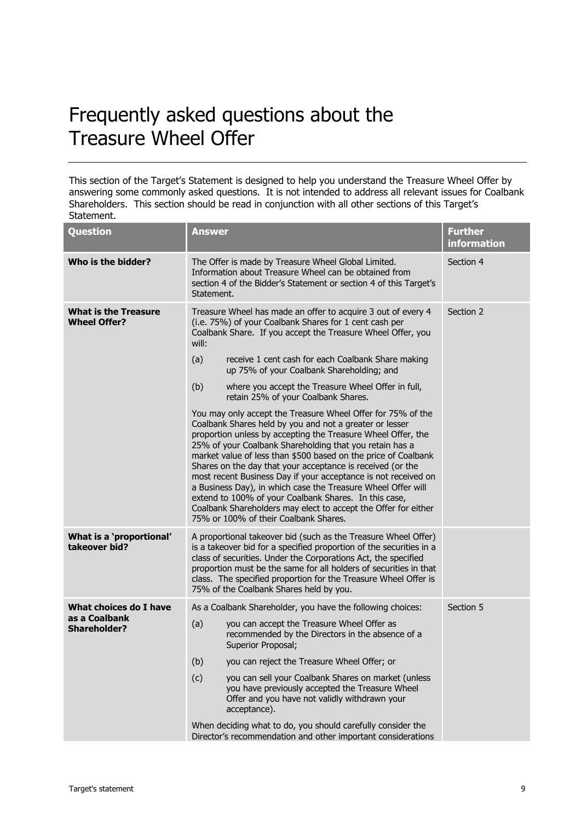## Frequently asked questions about the Treasure Wheel Offer

This section of the Target's Statement is designed to help you understand the Treasure Wheel Offer by answering some commonly asked questions. It is not intended to address all relevant issues for Coalbank Shareholders. This section should be read in conjunction with all other sections of this Target's Statement.

| <b>Question</b>                                    | <b>Answer</b>                                                                                                                                                                                                                                                                                                                                                                                                                                                                                                                                                                                                                                                                           | <b>Further</b><br>information |  |
|----------------------------------------------------|-----------------------------------------------------------------------------------------------------------------------------------------------------------------------------------------------------------------------------------------------------------------------------------------------------------------------------------------------------------------------------------------------------------------------------------------------------------------------------------------------------------------------------------------------------------------------------------------------------------------------------------------------------------------------------------------|-------------------------------|--|
| Who is the bidder?                                 | The Offer is made by Treasure Wheel Global Limited.<br>Information about Treasure Wheel can be obtained from<br>section 4 of the Bidder's Statement or section 4 of this Target's<br>Statement.                                                                                                                                                                                                                                                                                                                                                                                                                                                                                         | Section 4                     |  |
| <b>What is the Treasure</b><br><b>Wheel Offer?</b> | Treasure Wheel has made an offer to acquire 3 out of every 4<br>(i.e. 75%) of your Coalbank Shares for 1 cent cash per<br>Coalbank Share. If you accept the Treasure Wheel Offer, you<br>will:                                                                                                                                                                                                                                                                                                                                                                                                                                                                                          | Section 2                     |  |
|                                                    | (a)<br>receive 1 cent cash for each Coalbank Share making<br>up 75% of your Coalbank Shareholding; and                                                                                                                                                                                                                                                                                                                                                                                                                                                                                                                                                                                  |                               |  |
|                                                    | (b)<br>where you accept the Treasure Wheel Offer in full,<br>retain 25% of your Coalbank Shares.                                                                                                                                                                                                                                                                                                                                                                                                                                                                                                                                                                                        |                               |  |
|                                                    | You may only accept the Treasure Wheel Offer for 75% of the<br>Coalbank Shares held by you and not a greater or lesser<br>proportion unless by accepting the Treasure Wheel Offer, the<br>25% of your Coalbank Shareholding that you retain has a<br>market value of less than \$500 based on the price of Coalbank<br>Shares on the day that your acceptance is received (or the<br>most recent Business Day if your acceptance is not received on<br>a Business Day), in which case the Treasure Wheel Offer will<br>extend to 100% of your Coalbank Shares. In this case,<br>Coalbank Shareholders may elect to accept the Offer for either<br>75% or 100% of their Coalbank Shares. |                               |  |
| What is a 'proportional'<br>takeover bid?          | A proportional takeover bid (such as the Treasure Wheel Offer)<br>is a takeover bid for a specified proportion of the securities in a<br>class of securities. Under the Corporations Act, the specified<br>proportion must be the same for all holders of securities in that<br>class. The specified proportion for the Treasure Wheel Offer is<br>75% of the Coalbank Shares held by you.                                                                                                                                                                                                                                                                                              |                               |  |
| What choices do I have                             | As a Coalbank Shareholder, you have the following choices:                                                                                                                                                                                                                                                                                                                                                                                                                                                                                                                                                                                                                              | Section 5                     |  |
| as a Coalbank<br><b>Shareholder?</b>               | (a)<br>you can accept the Treasure Wheel Offer as<br>recommended by the Directors in the absence of a<br>Superior Proposal;                                                                                                                                                                                                                                                                                                                                                                                                                                                                                                                                                             |                               |  |
|                                                    | (b)<br>you can reject the Treasure Wheel Offer; or                                                                                                                                                                                                                                                                                                                                                                                                                                                                                                                                                                                                                                      |                               |  |
|                                                    | (c)<br>you can sell your Coalbank Shares on market (unless<br>you have previously accepted the Treasure Wheel<br>Offer and you have not validly withdrawn your<br>acceptance).                                                                                                                                                                                                                                                                                                                                                                                                                                                                                                          |                               |  |
|                                                    | When deciding what to do, you should carefully consider the<br>Director's recommendation and other important considerations                                                                                                                                                                                                                                                                                                                                                                                                                                                                                                                                                             |                               |  |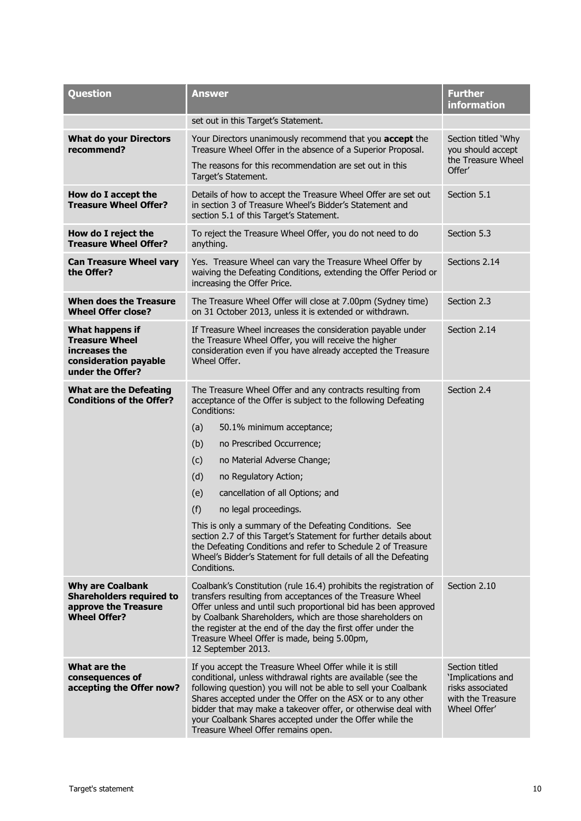| Question                                                                                                  | Answer                                                                                                                                                                                                                                                                                                                                                                                                                                                                                                                                                                                                                                               | <b>Further</b><br><b>information</b>                                                         |  |
|-----------------------------------------------------------------------------------------------------------|------------------------------------------------------------------------------------------------------------------------------------------------------------------------------------------------------------------------------------------------------------------------------------------------------------------------------------------------------------------------------------------------------------------------------------------------------------------------------------------------------------------------------------------------------------------------------------------------------------------------------------------------------|----------------------------------------------------------------------------------------------|--|
|                                                                                                           | set out in this Target's Statement.                                                                                                                                                                                                                                                                                                                                                                                                                                                                                                                                                                                                                  |                                                                                              |  |
| <b>What do your Directors</b><br>recommend?                                                               | Your Directors unanimously recommend that you accept the<br>Treasure Wheel Offer in the absence of a Superior Proposal.                                                                                                                                                                                                                                                                                                                                                                                                                                                                                                                              | Section titled 'Why<br>you should accept                                                     |  |
|                                                                                                           | The reasons for this recommendation are set out in this<br>Target's Statement.                                                                                                                                                                                                                                                                                                                                                                                                                                                                                                                                                                       | the Treasure Wheel<br>Offer'                                                                 |  |
| How do I accept the<br><b>Treasure Wheel Offer?</b>                                                       | Details of how to accept the Treasure Wheel Offer are set out<br>in section 3 of Treasure Wheel's Bidder's Statement and<br>section 5.1 of this Target's Statement.                                                                                                                                                                                                                                                                                                                                                                                                                                                                                  | Section 5.1                                                                                  |  |
| How do I reject the<br><b>Treasure Wheel Offer?</b>                                                       | To reject the Treasure Wheel Offer, you do not need to do<br>anything.                                                                                                                                                                                                                                                                                                                                                                                                                                                                                                                                                                               | Section 5.3                                                                                  |  |
| <b>Can Treasure Wheel vary</b><br>the Offer?                                                              | Yes. Treasure Wheel can vary the Treasure Wheel Offer by<br>waiving the Defeating Conditions, extending the Offer Period or<br>increasing the Offer Price.                                                                                                                                                                                                                                                                                                                                                                                                                                                                                           | Sections 2.14                                                                                |  |
| When does the Treasure<br><b>Wheel Offer close?</b>                                                       | The Treasure Wheel Offer will close at 7.00pm (Sydney time)<br>on 31 October 2013, unless it is extended or withdrawn.                                                                                                                                                                                                                                                                                                                                                                                                                                                                                                                               | Section 2.3                                                                                  |  |
| What happens if<br><b>Treasure Wheel</b><br>increases the<br>consideration payable<br>under the Offer?    | If Treasure Wheel increases the consideration payable under<br>the Treasure Wheel Offer, you will receive the higher<br>consideration even if you have already accepted the Treasure<br>Wheel Offer.                                                                                                                                                                                                                                                                                                                                                                                                                                                 | Section 2.14                                                                                 |  |
| <b>What are the Defeating</b><br><b>Conditions of the Offer?</b>                                          | The Treasure Wheel Offer and any contracts resulting from<br>acceptance of the Offer is subject to the following Defeating<br>Conditions:<br>(a)<br>50.1% minimum acceptance;<br>(b)<br>no Prescribed Occurrence;<br>(c)<br>no Material Adverse Change;<br>(d)<br>no Regulatory Action;<br>(e)<br>cancellation of all Options; and<br>(f)<br>no legal proceedings.<br>This is only a summary of the Defeating Conditions. See<br>section 2.7 of this Target's Statement for further details about<br>the Defeating Conditions and refer to Schedule 2 of Treasure<br>Wheel's Bidder's Statement for full details of all the Defeating<br>Conditions. | Section 2.4                                                                                  |  |
| <b>Why are Coalbank</b><br><b>Shareholders required to</b><br>approve the Treasure<br><b>Wheel Offer?</b> | Coalbank's Constitution (rule 16.4) prohibits the registration of<br>transfers resulting from acceptances of the Treasure Wheel<br>Offer unless and until such proportional bid has been approved<br>by Coalbank Shareholders, which are those shareholders on<br>the register at the end of the day the first offer under the<br>Treasure Wheel Offer is made, being 5.00pm,<br>12 September 2013.                                                                                                                                                                                                                                                  | Section 2.10                                                                                 |  |
| What are the<br>consequences of<br>accepting the Offer now?                                               | If you accept the Treasure Wheel Offer while it is still<br>conditional, unless withdrawal rights are available (see the<br>following question) you will not be able to sell your Coalbank<br>Shares accepted under the Offer on the ASX or to any other<br>bidder that may make a takeover offer, or otherwise deal with<br>your Coalbank Shares accepted under the Offer while the<br>Treasure Wheel Offer remains open.                                                                                                                                                                                                                           | Section titled<br>'Implications and<br>risks associated<br>with the Treasure<br>Wheel Offer' |  |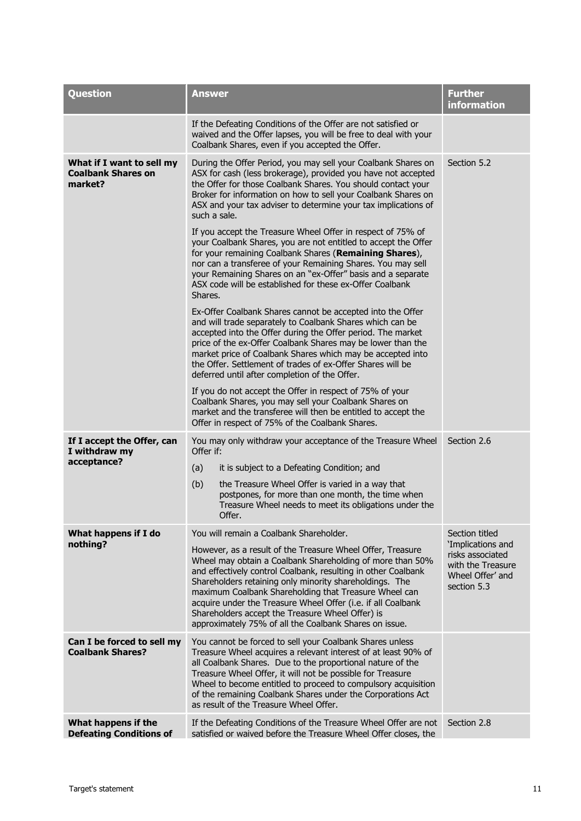| <b>Question</b>                                                   | <b>Answer</b>                                                                                                                                                                                                                                                                                                                                                                                                                                                                                                                         | <b>Further</b><br>information                                                                                   |
|-------------------------------------------------------------------|---------------------------------------------------------------------------------------------------------------------------------------------------------------------------------------------------------------------------------------------------------------------------------------------------------------------------------------------------------------------------------------------------------------------------------------------------------------------------------------------------------------------------------------|-----------------------------------------------------------------------------------------------------------------|
|                                                                   | If the Defeating Conditions of the Offer are not satisfied or<br>waived and the Offer lapses, you will be free to deal with your<br>Coalbank Shares, even if you accepted the Offer.                                                                                                                                                                                                                                                                                                                                                  |                                                                                                                 |
| What if I want to sell my<br><b>Coalbank Shares on</b><br>market? | During the Offer Period, you may sell your Coalbank Shares on<br>ASX for cash (less brokerage), provided you have not accepted<br>the Offer for those Coalbank Shares. You should contact your<br>Broker for information on how to sell your Coalbank Shares on<br>ASX and your tax adviser to determine your tax implications of<br>such a sale.                                                                                                                                                                                     | Section 5.2                                                                                                     |
|                                                                   | If you accept the Treasure Wheel Offer in respect of 75% of<br>your Coalbank Shares, you are not entitled to accept the Offer<br>for your remaining Coalbank Shares (Remaining Shares),<br>nor can a transferee of your Remaining Shares. You may sell<br>your Remaining Shares on an "ex-Offer" basis and a separate<br>ASX code will be established for these ex-Offer Coalbank<br>Shares.                                                                                                                                          |                                                                                                                 |
|                                                                   | Ex-Offer Coalbank Shares cannot be accepted into the Offer<br>and will trade separately to Coalbank Shares which can be<br>accepted into the Offer during the Offer period. The market<br>price of the ex-Offer Coalbank Shares may be lower than the<br>market price of Coalbank Shares which may be accepted into<br>the Offer. Settlement of trades of ex-Offer Shares will be<br>deferred until after completion of the Offer.                                                                                                    |                                                                                                                 |
|                                                                   | If you do not accept the Offer in respect of 75% of your<br>Coalbank Shares, you may sell your Coalbank Shares on<br>market and the transferee will then be entitled to accept the<br>Offer in respect of 75% of the Coalbank Shares.                                                                                                                                                                                                                                                                                                 |                                                                                                                 |
| If I accept the Offer, can<br>I withdraw my<br>acceptance?        | You may only withdraw your acceptance of the Treasure Wheel<br>Offer if:<br>(a)<br>it is subject to a Defeating Condition; and<br>(b)<br>the Treasure Wheel Offer is varied in a way that<br>postpones, for more than one month, the time when<br>Treasure Wheel needs to meet its obligations under the                                                                                                                                                                                                                              | Section 2.6                                                                                                     |
|                                                                   | Offer.                                                                                                                                                                                                                                                                                                                                                                                                                                                                                                                                |                                                                                                                 |
| What happens if I do<br>nothing?                                  | You will remain a Coalbank Shareholder.<br>However, as a result of the Treasure Wheel Offer, Treasure<br>Wheel may obtain a Coalbank Shareholding of more than 50%<br>and effectively control Coalbank, resulting in other Coalbank<br>Shareholders retaining only minority shareholdings. The<br>maximum Coalbank Shareholding that Treasure Wheel can<br>acquire under the Treasure Wheel Offer (i.e. if all Coalbank<br>Shareholders accept the Treasure Wheel Offer) is<br>approximately 75% of all the Coalbank Shares on issue. | Section titled<br>'Implications and<br>risks associated<br>with the Treasure<br>Wheel Offer' and<br>section 5.3 |
| Can I be forced to sell my<br><b>Coalbank Shares?</b>             | You cannot be forced to sell your Coalbank Shares unless<br>Treasure Wheel acquires a relevant interest of at least 90% of<br>all Coalbank Shares. Due to the proportional nature of the<br>Treasure Wheel Offer, it will not be possible for Treasure<br>Wheel to become entitled to proceed to compulsory acquisition<br>of the remaining Coalbank Shares under the Corporations Act<br>as result of the Treasure Wheel Offer.                                                                                                      |                                                                                                                 |
| What happens if the<br><b>Defeating Conditions of</b>             | If the Defeating Conditions of the Treasure Wheel Offer are not<br>satisfied or waived before the Treasure Wheel Offer closes, the                                                                                                                                                                                                                                                                                                                                                                                                    | Section 2.8                                                                                                     |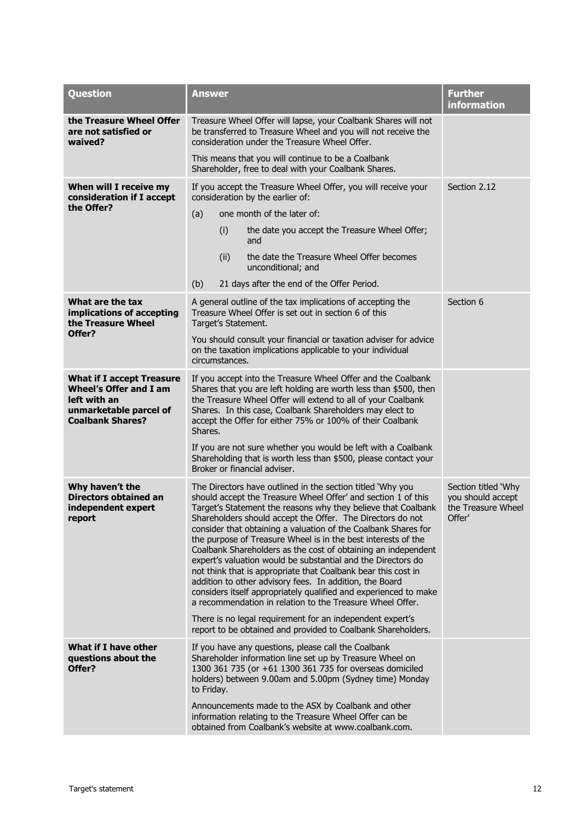<span id="page-13-0"></span>

| <b>Question</b>                                                                                                                        | <b>Answer</b>                                                                                                                                                                                                                                                                                                                                                                                                                                                                                                                                                                                                                                                                                                                                                                               | <b>Further</b><br><b>information</b>                                     |
|----------------------------------------------------------------------------------------------------------------------------------------|---------------------------------------------------------------------------------------------------------------------------------------------------------------------------------------------------------------------------------------------------------------------------------------------------------------------------------------------------------------------------------------------------------------------------------------------------------------------------------------------------------------------------------------------------------------------------------------------------------------------------------------------------------------------------------------------------------------------------------------------------------------------------------------------|--------------------------------------------------------------------------|
| the Treasure Wheel Offer<br>are not satisfied or<br>waived?                                                                            | Treasure Wheel Offer will lapse, your Coalbank Shares will not<br>be transferred to Treasure Wheel and you will not receive the<br>consideration under the Treasure Wheel Offer.                                                                                                                                                                                                                                                                                                                                                                                                                                                                                                                                                                                                            |                                                                          |
|                                                                                                                                        | This means that you will continue to be a Coalbank<br>Shareholder, free to deal with your Coalbank Shares.                                                                                                                                                                                                                                                                                                                                                                                                                                                                                                                                                                                                                                                                                  |                                                                          |
| When will I receive my<br>consideration if I accept                                                                                    | If you accept the Treasure Wheel Offer, you will receive your<br>consideration by the earlier of:                                                                                                                                                                                                                                                                                                                                                                                                                                                                                                                                                                                                                                                                                           | Section 2.12                                                             |
| the Offer?                                                                                                                             | one month of the later of:<br>(a)                                                                                                                                                                                                                                                                                                                                                                                                                                                                                                                                                                                                                                                                                                                                                           |                                                                          |
|                                                                                                                                        | (i)<br>the date you accept the Treasure Wheel Offer;<br>and                                                                                                                                                                                                                                                                                                                                                                                                                                                                                                                                                                                                                                                                                                                                 |                                                                          |
|                                                                                                                                        | (ii)<br>the date the Treasure Wheel Offer becomes<br>unconditional; and                                                                                                                                                                                                                                                                                                                                                                                                                                                                                                                                                                                                                                                                                                                     |                                                                          |
|                                                                                                                                        | (b)<br>21 days after the end of the Offer Period.                                                                                                                                                                                                                                                                                                                                                                                                                                                                                                                                                                                                                                                                                                                                           |                                                                          |
| What are the tax<br>implications of accepting<br>the Treasure Wheel                                                                    | A general outline of the tax implications of accepting the<br>Treasure Wheel Offer is set out in section 6 of this<br>Target's Statement.                                                                                                                                                                                                                                                                                                                                                                                                                                                                                                                                                                                                                                                   | Section 6                                                                |
| Offer?                                                                                                                                 | You should consult your financial or taxation adviser for advice<br>on the taxation implications applicable to your individual<br>circumstances.                                                                                                                                                                                                                                                                                                                                                                                                                                                                                                                                                                                                                                            |                                                                          |
| <b>What if I accept Treasure</b><br><b>Wheel's Offer and I am</b><br>left with an<br>unmarketable parcel of<br><b>Coalbank Shares?</b> | If you accept into the Treasure Wheel Offer and the Coalbank<br>Shares that you are left holding are worth less than \$500, then<br>the Treasure Wheel Offer will extend to all of your Coalbank<br>Shares. In this case, Coalbank Shareholders may elect to<br>accept the Offer for either 75% or 100% of their Coalbank<br>Shares.                                                                                                                                                                                                                                                                                                                                                                                                                                                        |                                                                          |
|                                                                                                                                        | If you are not sure whether you would be left with a Coalbank<br>Shareholding that is worth less than \$500, please contact your<br>Broker or financial adviser.                                                                                                                                                                                                                                                                                                                                                                                                                                                                                                                                                                                                                            |                                                                          |
| Why haven't the<br><b>Directors obtained an</b><br>independent expert<br>report                                                        | The Directors have outlined in the section titled 'Why you<br>should accept the Treasure Wheel Offer' and section 1 of this<br>Target's Statement the reasons why they believe that Coalbank<br>Shareholders should accept the Offer. The Directors do not<br>consider that obtaining a valuation of the Coalbank Shares for<br>the purpose of Treasure Wheel is in the best interests of the<br>Coalbank Shareholders as the cost of obtaining an independent<br>expert's valuation would be substantial and the Directors do<br>not think that is appropriate that Coalbank bear this cost in<br>addition to other advisory fees. In addition, the Board<br>considers itself appropriately qualified and experienced to make<br>a recommendation in relation to the Treasure Wheel Offer. | Section titled 'Why<br>you should accept<br>the Treasure Wheel<br>Offer' |
|                                                                                                                                        | There is no legal requirement for an independent expert's<br>report to be obtained and provided to Coalbank Shareholders.                                                                                                                                                                                                                                                                                                                                                                                                                                                                                                                                                                                                                                                                   |                                                                          |
| What if I have other<br>questions about the<br>Offer?                                                                                  | If you have any questions, please call the Coalbank<br>Shareholder information line set up by Treasure Wheel on<br>1300 361 735 (or +61 1300 361 735 for overseas domiciled<br>holders) between 9.00am and 5.00pm (Sydney time) Monday<br>to Friday.                                                                                                                                                                                                                                                                                                                                                                                                                                                                                                                                        |                                                                          |
|                                                                                                                                        | Announcements made to the ASX by Coalbank and other<br>information relating to the Treasure Wheel Offer can be<br>obtained from Coalbank's website at www.coalbank.com.                                                                                                                                                                                                                                                                                                                                                                                                                                                                                                                                                                                                                     |                                                                          |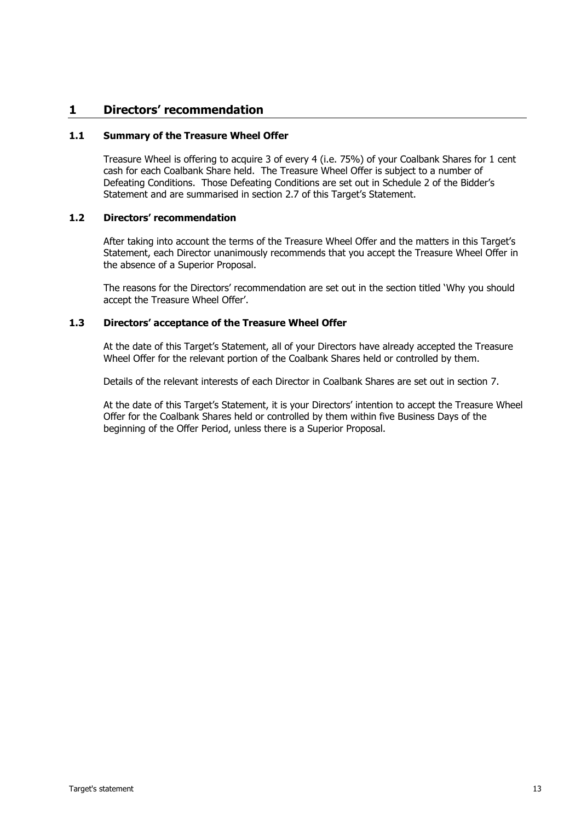#### **1 Directors' recommendation**

#### **1.1 Summary of the Treasure Wheel Offer**

Treasure Wheel is offering to acquire 3 of every 4 (i.e. 75%) of your Coalbank Shares for 1 cent cash for each Coalbank Share held. The Treasure Wheel Offer is subject to a number of Defeating Conditions. Those Defeating Conditions are set out in Schedule 2 of the Bidder's Statement and are summarised in section [2.7](#page-16-0) of this Target's Statement.

#### **1.2 Directors' recommendation**

After taking into account the terms of the Treasure Wheel Offer and the matters in this Target's Statement, each Director unanimously recommends that you accept the Treasure Wheel Offer in the absence of a Superior Proposal.

The reasons for the Directors' recommendation are set out in the section titled 'Why you should accept the Treasure Wheel Offer'.

#### **1.3 Directors' acceptance of the Treasure Wheel Offer**

At the date of this Target's Statement, all of your Directors have already accepted the Treasure Wheel Offer for the relevant portion of the Coalbank Shares held or controlled by them.

Details of the relevant interests of each Director in Coalbank Shares are set out in section [7.](#page-40-0)

At the date of this Target's Statement, it is your Directors' intention to accept the Treasure Wheel Offer for the Coalbank Shares held or controlled by them within five Business Days of the beginning of the Offer Period, unless there is a Superior Proposal.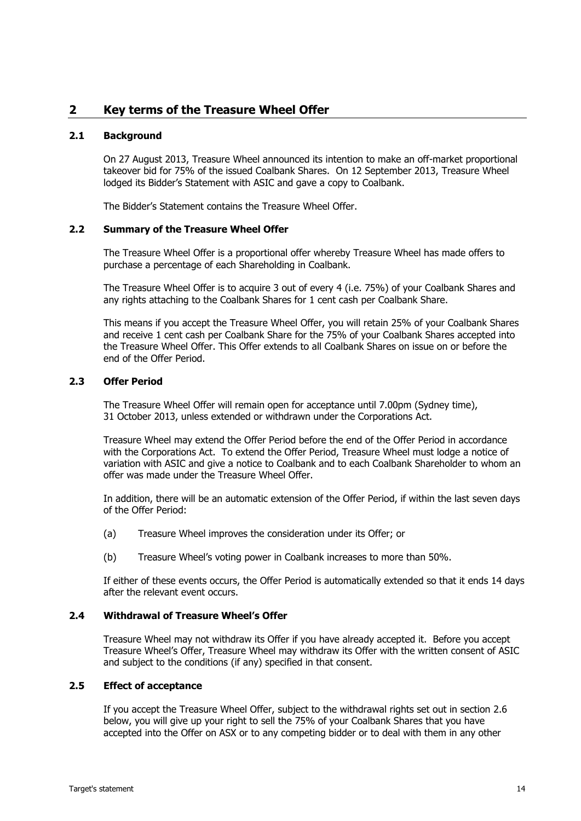#### <span id="page-15-0"></span>**2 Key terms of the Treasure Wheel Offer**

#### **2.1 Background**

On 27 August 2013, Treasure Wheel announced its intention to make an off-market proportional takeover bid for 75% of the issued Coalbank Shares. On 12 September 2013, Treasure Wheel lodged its Bidder's Statement with ASIC and gave a copy to Coalbank.

The Bidder's Statement contains the Treasure Wheel Offer.

#### **2.2 Summary of the Treasure Wheel Offer**

The Treasure Wheel Offer is a proportional offer whereby Treasure Wheel has made offers to purchase a percentage of each Shareholding in Coalbank.

The Treasure Wheel Offer is to acquire 3 out of every 4 (i.e. 75%) of your Coalbank Shares and any rights attaching to the Coalbank Shares for 1 cent cash per Coalbank Share.

This means if you accept the Treasure Wheel Offer, you will retain 25% of your Coalbank Shares and receive 1 cent cash per Coalbank Share for the 75% of your Coalbank Shares accepted into the Treasure Wheel Offer. This Offer extends to all Coalbank Shares on issue on or before the end of the Offer Period.

#### <span id="page-15-1"></span>**2.3 Offer Period**

The Treasure Wheel Offer will remain open for acceptance until 7.00pm (Sydney time), 31 October 2013, unless extended or withdrawn under the Corporations Act.

Treasure Wheel may extend the Offer Period before the end of the Offer Period in accordance with the Corporations Act. To extend the Offer Period, Treasure Wheel must lodge a notice of variation with ASIC and give a notice to Coalbank and to each Coalbank Shareholder to whom an offer was made under the Treasure Wheel Offer.

In addition, there will be an automatic extension of the Offer Period, if within the last seven days of the Offer Period:

- (a) Treasure Wheel improves the consideration under its Offer; or
- (b) Treasure Wheel's voting power in Coalbank increases to more than 50%.

If either of these events occurs, the Offer Period is automatically extended so that it ends 14 days after the relevant event occurs.

#### <span id="page-15-2"></span>**2.4 Withdrawal of Treasure Wheel's Offer**

Treasure Wheel may not withdraw its Offer if you have already accepted it. Before you accept Treasure Wheel's Offer, Treasure Wheel may withdraw its Offer with the written consent of ASIC and subject to the conditions (if any) specified in that consent.

#### **2.5 Effect of acceptance**

If you accept the Treasure Wheel Offer, subject to the withdrawal rights set out in section [2.6](#page-16-1) below, you will give up your right to sell the 75% of your Coalbank Shares that you have accepted into the Offer on ASX or to any competing bidder or to deal with them in any other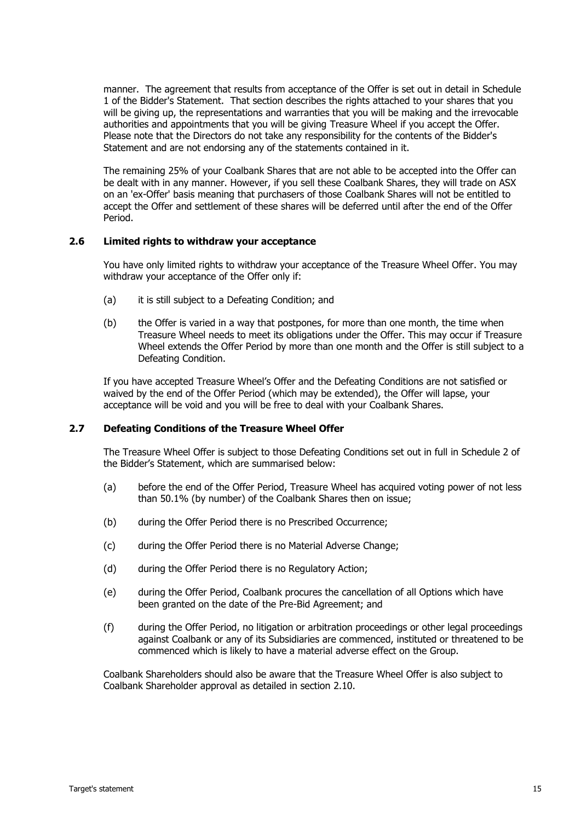manner. The agreement that results from acceptance of the Offer is set out in detail in Schedule 1 of the Bidder's Statement. That section describes the rights attached to your shares that you will be giving up, the representations and warranties that you will be making and the irrevocable authorities and appointments that you will be giving Treasure Wheel if you accept the Offer. Please note that the Directors do not take any responsibility for the contents of the Bidder's Statement and are not endorsing any of the statements contained in it.

The remaining 25% of your Coalbank Shares that are not able to be accepted into the Offer can be dealt with in any manner. However, if you sell these Coalbank Shares, they will trade on ASX on an 'ex-Offer' basis meaning that purchasers of those Coalbank Shares will not be entitled to accept the Offer and settlement of these shares will be deferred until after the end of the Offer Period.

#### <span id="page-16-1"></span>**2.6 Limited rights to withdraw your acceptance**

You have only limited rights to withdraw your acceptance of the Treasure Wheel Offer. You may withdraw your acceptance of the Offer only if:

- (a) it is still subject to a Defeating Condition; and
- (b) the Offer is varied in a way that postpones, for more than one month, the time when Treasure Wheel needs to meet its obligations under the Offer. This may occur if Treasure Wheel extends the Offer Period by more than one month and the Offer is still subject to a Defeating Condition.

If you have accepted Treasure Wheel's Offer and the Defeating Conditions are not satisfied or waived by the end of the Offer Period (which may be extended), the Offer will lapse, your acceptance will be void and you will be free to deal with your Coalbank Shares.

#### <span id="page-16-0"></span>**2.7 Defeating Conditions of the Treasure Wheel Offer**

The Treasure Wheel Offer is subject to those Defeating Conditions set out in full in Schedule 2 of the Bidder's Statement, which are summarised below:

- (a) before the end of the Offer Period, Treasure Wheel has acquired voting power of not less than 50.1% (by number) of the Coalbank Shares then on issue;
- (b) during the Offer Period there is no Prescribed Occurrence;
- (c) during the Offer Period there is no Material Adverse Change;
- (d) during the Offer Period there is no Regulatory Action;
- (e) during the Offer Period, Coalbank procures the cancellation of all Options which have been granted on the date of the Pre-Bid Agreement; and
- (f) during the Offer Period, no litigation or arbitration proceedings or other legal proceedings against Coalbank or any of its Subsidiaries are commenced, instituted or threatened to be commenced which is likely to have a material adverse effect on the Group.

Coalbank Shareholders should also be aware that the Treasure Wheel Offer is also subject to Coalbank Shareholder approval as detailed in section [2.10.](#page-18-1)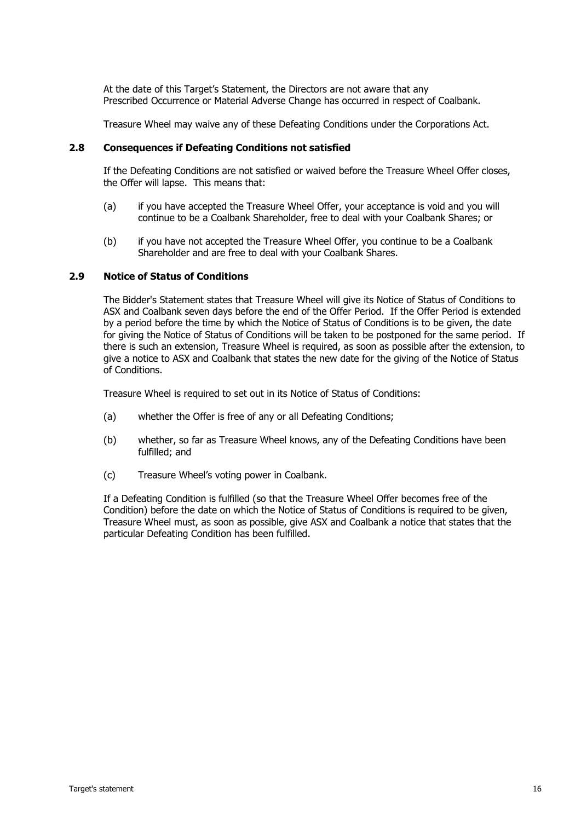At the date of this Target's Statement, the Directors are not aware that any Prescribed Occurrence or Material Adverse Change has occurred in respect of Coalbank.

Treasure Wheel may waive any of these Defeating Conditions under the Corporations Act.

#### <span id="page-17-0"></span>**2.8 Consequences if Defeating Conditions not satisfied**

If the Defeating Conditions are not satisfied or waived before the Treasure Wheel Offer closes, the Offer will lapse. This means that:

- (a) if you have accepted the Treasure Wheel Offer, your acceptance is void and you will continue to be a Coalbank Shareholder, free to deal with your Coalbank Shares; or
- (b) if you have not accepted the Treasure Wheel Offer, you continue to be a Coalbank Shareholder and are free to deal with your Coalbank Shares.

#### **2.9 Notice of Status of Conditions**

The Bidder's Statement states that Treasure Wheel will give its Notice of Status of Conditions to ASX and Coalbank seven days before the end of the Offer Period. If the Offer Period is extended by a period before the time by which the Notice of Status of Conditions is to be given, the date for giving the Notice of Status of Conditions will be taken to be postponed for the same period. If there is such an extension, Treasure Wheel is required, as soon as possible after the extension, to give a notice to ASX and Coalbank that states the new date for the giving of the Notice of Status of Conditions.

Treasure Wheel is required to set out in its Notice of Status of Conditions:

- (a) whether the Offer is free of any or all Defeating Conditions;
- (b) whether, so far as Treasure Wheel knows, any of the Defeating Conditions have been fulfilled; and
- (c) Treasure Wheel's voting power in Coalbank.

If a Defeating Condition is fulfilled (so that the Treasure Wheel Offer becomes free of the Condition) before the date on which the Notice of Status of Conditions is required to be given, Treasure Wheel must, as soon as possible, give ASX and Coalbank a notice that states that the particular Defeating Condition has been fulfilled.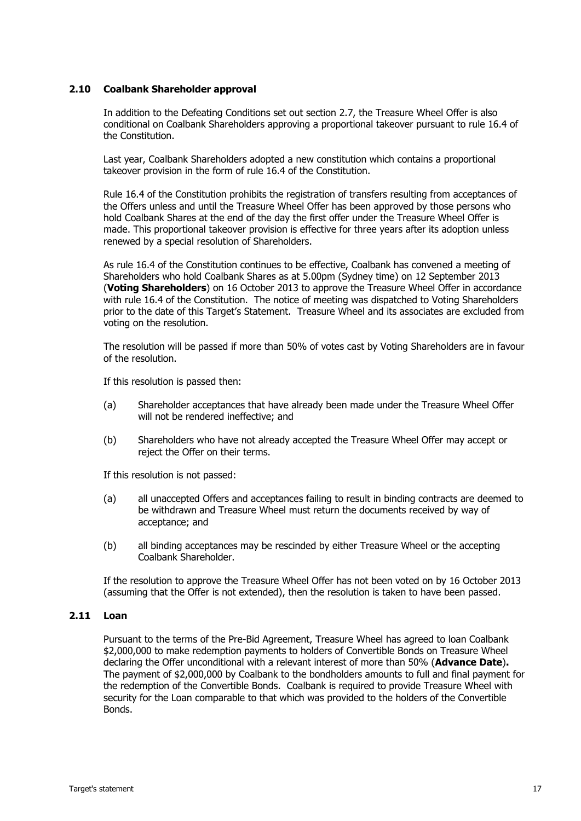#### <span id="page-18-1"></span>**2.10 Coalbank Shareholder approval**

In addition to the Defeating Conditions set out section [2.7,](#page-16-0) the Treasure Wheel Offer is also conditional on Coalbank Shareholders approving a proportional takeover pursuant to rule 16.4 of the Constitution.

Last year, Coalbank Shareholders adopted a new constitution which contains a proportional takeover provision in the form of rule 16.4 of the Constitution.

Rule 16.4 of the Constitution prohibits the registration of transfers resulting from acceptances of the Offers unless and until the Treasure Wheel Offer has been approved by those persons who hold Coalbank Shares at the end of the day the first offer under the Treasure Wheel Offer is made. This proportional takeover provision is effective for three years after its adoption unless renewed by a special resolution of Shareholders.

As rule 16.4 of the Constitution continues to be effective, Coalbank has convened a meeting of Shareholders who hold Coalbank Shares as at 5.00pm (Sydney time) on 12 September 2013 (**Voting Shareholders**) on 16 October 2013 to approve the Treasure Wheel Offer in accordance with rule 16.4 of the Constitution. The notice of meeting was dispatched to Voting Shareholders prior to the date of this Target's Statement. Treasure Wheel and its associates are excluded from voting on the resolution.

The resolution will be passed if more than 50% of votes cast by Voting Shareholders are in favour of the resolution.

If this resolution is passed then:

- (a) Shareholder acceptances that have already been made under the Treasure Wheel Offer will not be rendered ineffective; and
- (b) Shareholders who have not already accepted the Treasure Wheel Offer may accept or reject the Offer on their terms.

If this resolution is not passed:

- (a) all unaccepted Offers and acceptances failing to result in binding contracts are deemed to be withdrawn and Treasure Wheel must return the documents received by way of acceptance; and
- (b) all binding acceptances may be rescinded by either Treasure Wheel or the accepting Coalbank Shareholder.

If the resolution to approve the Treasure Wheel Offer has not been voted on by 16 October 2013 (assuming that the Offer is not extended), then the resolution is taken to have been passed.

#### <span id="page-18-0"></span>**2.11 Loan**

Pursuant to the terms of the Pre-Bid Agreement, Treasure Wheel has agreed to loan Coalbank \$2,000,000 to make redemption payments to holders of Convertible Bonds on Treasure Wheel declaring the Offer unconditional with a relevant interest of more than 50% (**Advance Date**)**.**  The payment of \$2,000,000 by Coalbank to the bondholders amounts to full and final payment for the redemption of the Convertible Bonds. Coalbank is required to provide Treasure Wheel with security for the Loan comparable to that which was provided to the holders of the Convertible Bonds.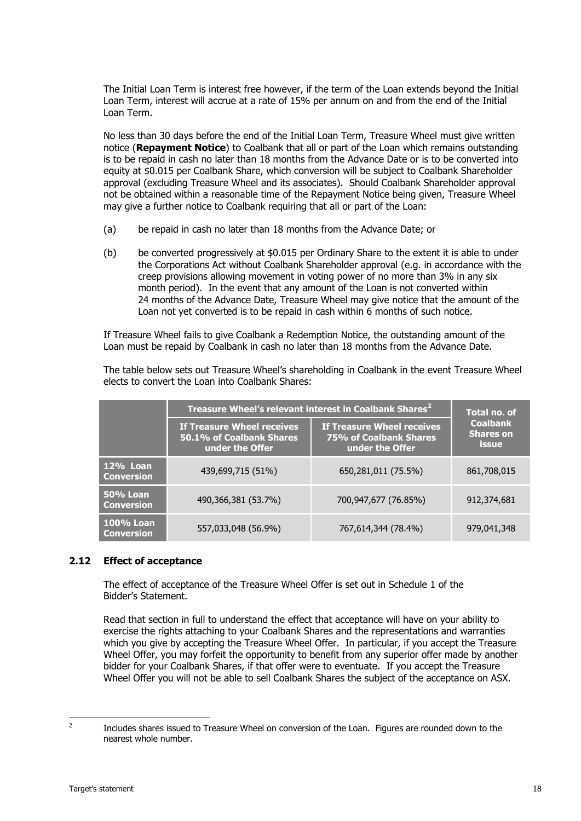The Initial Loan Term is interest free however, if the term of the Loan extends beyond the Initial Loan Term, interest will accrue at a rate of 15% per annum on and from the end of the Initial Loan Term.

No less than 30 days before the end of the Initial Loan Term, Treasure Wheel must give written notice (**Repayment Notice**) to Coalbank that all or part of the Loan which remains outstanding is to be repaid in cash no later than 18 months from the Advance Date or is to be converted into equity at \$0.015 per Coalbank Share, which conversion will be subject to Coalbank Shareholder approval (excluding Treasure Wheel and its associates). Should Coalbank Shareholder approval not be obtained within a reasonable time of the Repayment Notice being given, Treasure Wheel may give a further notice to Coalbank requiring that all or part of the Loan:

- (a) be repaid in cash no later than 18 months from the Advance Date; or
- <span id="page-19-0"></span>(b) be converted progressively at \$0.015 per Ordinary Share to the extent it is able to under the Corporations Act without Coalbank Shareholder approval (e.g. in accordance with the creep provisions allowing movement in voting power of no more than 3% in any six month period). In the event that any amount of the Loan is not converted within 24 months of the Advance Date, Treasure Wheel may give notice that the amount of the Loan not yet converted is to be repaid in cash within 6 months of such notice.

If Treasure Wheel fails to give Coalbank a Redemption Notice, the outstanding amount of the Loan must be repaid by Coalbank in cash no later than 18 months from the Advance Date.

The table below sets out Treasure Wheel's shareholding in Coalbank in the event Treasure Wheel elects to convert the Loan into Coalbank Shares:

|                                       | Treasure Wheel's relevant interest in Coalbank Shares <sup>2</sup>               | Total no. of                                                                   |                                                     |
|---------------------------------------|----------------------------------------------------------------------------------|--------------------------------------------------------------------------------|-----------------------------------------------------|
|                                       | <b>If Treasure Wheel receives</b><br>50.1% of Coalbank Shares<br>under the Offer | <b>If Treasure Wheel receives</b><br>75% of Coalbank Shares<br>under the Offer | <b>Coalbank</b><br><b>Shares on</b><br><b>issue</b> |
| <b>12% Loan</b><br><b>Conversion</b>  | 439,699,715 (51%)                                                                | 650,281,011 (75.5%)                                                            | 861,708,015                                         |
| <b>50% Loan</b><br><b>Conversion</b>  | 490,366,381 (53.7%)                                                              | 700,947,677 (76.85%)                                                           | 912,374,681                                         |
| <b>100% Loan</b><br><b>Conversion</b> | 557,033,048 (56.9%)                                                              | 767,614,344 (78.4%)                                                            | 979,041,348                                         |

#### <span id="page-19-1"></span>**2.12 Effect of acceptance**

The effect of acceptance of the Treasure Wheel Offer is set out in Schedule 1 of the Bidder's Statement.

Read that section in full to understand the effect that acceptance will have on your ability to exercise the rights attaching to your Coalbank Shares and the representations and warranties which you give by accepting the Treasure Wheel Offer. In particular, if you accept the Treasure Wheel Offer, you may forfeit the opportunity to benefit from any superior offer made by another bidder for your Coalbank Shares, if that offer were to eventuate. If you accept the Treasure Wheel Offer you will not be able to sell Coalbank Shares the subject of the acceptance on ASX.

 $\frac{1}{2}$ 

Includes shares issued to Treasure Wheel on conversion of the Loan. Figures are rounded down to the nearest whole number.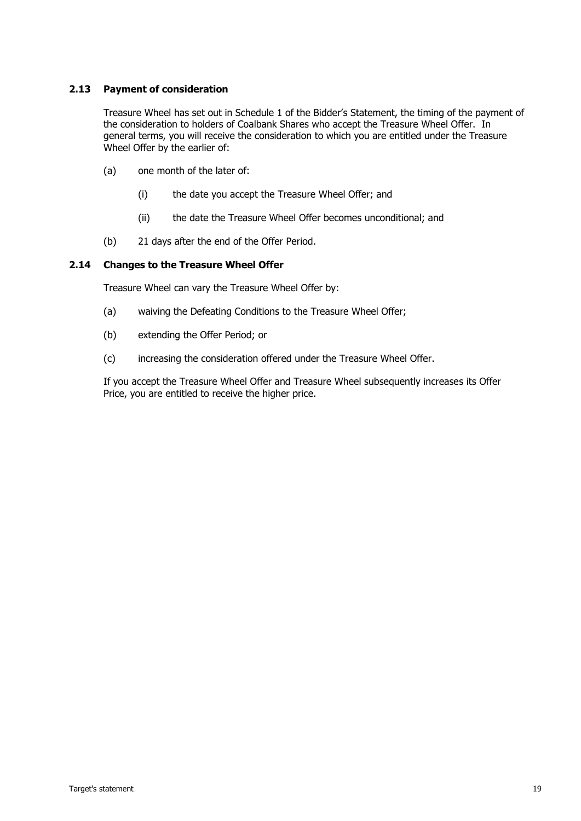#### **2.13 Payment of consideration**

Treasure Wheel has set out in Schedule 1 of the Bidder's Statement, the timing of the payment of the consideration to holders of Coalbank Shares who accept the Treasure Wheel Offer. In general terms, you will receive the consideration to which you are entitled under the Treasure Wheel Offer by the earlier of:

- (a) one month of the later of:
	- (i) the date you accept the Treasure Wheel Offer; and
	- (ii) the date the Treasure Wheel Offer becomes unconditional; and
- (b) 21 days after the end of the Offer Period.

#### <span id="page-20-0"></span>**2.14 Changes to the Treasure Wheel Offer**

Treasure Wheel can vary the Treasure Wheel Offer by:

- (a) waiving the Defeating Conditions to the Treasure Wheel Offer;
- (b) extending the Offer Period; or
- (c) increasing the consideration offered under the Treasure Wheel Offer.

If you accept the Treasure Wheel Offer and Treasure Wheel subsequently increases its Offer Price, you are entitled to receive the higher price.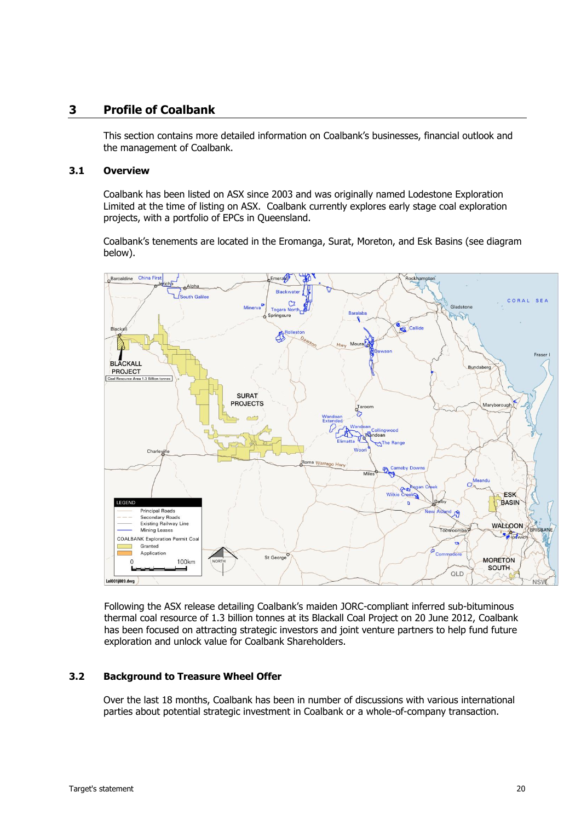#### **3 Profile of Coalbank**

This section contains more detailed information on Coalbank's businesses, financial outlook and the management of Coalbank.

#### **3.1 Overview**

Coalbank has been listed on ASX since 2003 and was originally named Lodestone Exploration Limited at the time of listing on ASX. Coalbank currently explores early stage coal exploration projects, with a portfolio of EPCs in Queensland.

Coalbank's tenements are located in the Eromanga, Surat, Moreton, and Esk Basins (see diagram below).



Following the ASX release detailing Coalbank's maiden JORC-compliant inferred sub-bituminous thermal coal resource of 1.3 billion tonnes at its Blackall Coal Project on 20 June 2012, Coalbank has been focused on attracting strategic investors and joint venture partners to help fund future exploration and unlock value for Coalbank Shareholders.

#### <span id="page-21-0"></span>**3.2 Background to Treasure Wheel Offer**

Over the last 18 months, Coalbank has been in number of discussions with various international parties about potential strategic investment in Coalbank or a whole-of-company transaction.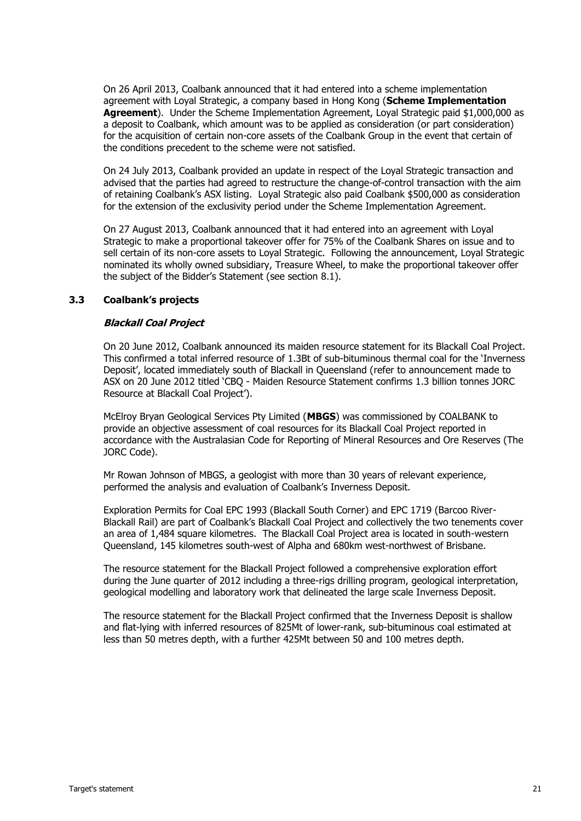On 26 April 2013, Coalbank announced that it had entered into a scheme implementation agreement with Loyal Strategic, a company based in Hong Kong (**Scheme Implementation Agreement**). Under the Scheme Implementation Agreement, Loyal Strategic paid \$1,000,000 as a deposit to Coalbank, which amount was to be applied as consideration (or part consideration) for the acquisition of certain non-core assets of the Coalbank Group in the event that certain of the conditions precedent to the scheme were not satisfied.

On 24 July 2013, Coalbank provided an update in respect of the Loyal Strategic transaction and advised that the parties had agreed to restructure the change-of-control transaction with the aim of retaining Coalbank's ASX listing. Loyal Strategic also paid Coalbank \$500,000 as consideration for the extension of the exclusivity period under the Scheme Implementation Agreement.

On 27 August 2013, Coalbank announced that it had entered into an agreement with Loyal Strategic to make a proportional takeover offer for 75% of the Coalbank Shares on issue and to sell certain of its non-core assets to Loyal Strategic. Following the announcement, Loyal Strategic nominated its wholly owned subsidiary, Treasure Wheel, to make the proportional takeover offer the subject of the Bidder's Statement (see section [8.1\)](#page-41-0).

#### **3.3 Coalbank's projects**

#### **Blackall Coal Project**

On 20 June 2012, Coalbank announced its maiden resource statement for its Blackall Coal Project. This confirmed a total inferred resource of 1.3Bt of sub-bituminous thermal coal for the 'Inverness Deposit', located immediately south of Blackall in Queensland (refer to announcement made to ASX on 20 June 2012 titled 'CBQ - Maiden Resource Statement confirms 1.3 billion tonnes JORC Resource at Blackall Coal Project').

McElroy Bryan Geological Services Pty Limited (**MBGS**) was commissioned by COALBANK to provide an objective assessment of coal resources for its Blackall Coal Project reported in accordance with the Australasian Code for Reporting of Mineral Resources and Ore Reserves (The JORC Code).

Mr Rowan Johnson of MBGS, a geologist with more than 30 years of relevant experience, performed the analysis and evaluation of Coalbank's Inverness Deposit.

Exploration Permits for Coal EPC 1993 (Blackall South Corner) and EPC 1719 (Barcoo River-Blackall Rail) are part of Coalbank's Blackall Coal Project and collectively the two tenements cover an area of 1,484 square kilometres. The Blackall Coal Project area is located in south-western Queensland, 145 kilometres south-west of Alpha and 680km west-northwest of Brisbane.

The resource statement for the Blackall Project followed a comprehensive exploration effort during the June quarter of 2012 including a three-rigs drilling program, geological interpretation, geological modelling and laboratory work that delineated the large scale Inverness Deposit.

The resource statement for the Blackall Project confirmed that the Inverness Deposit is shallow and flat-lying with inferred resources of 825Mt of lower-rank, sub-bituminous coal estimated at less than 50 metres depth, with a further 425Mt between 50 and 100 metres depth.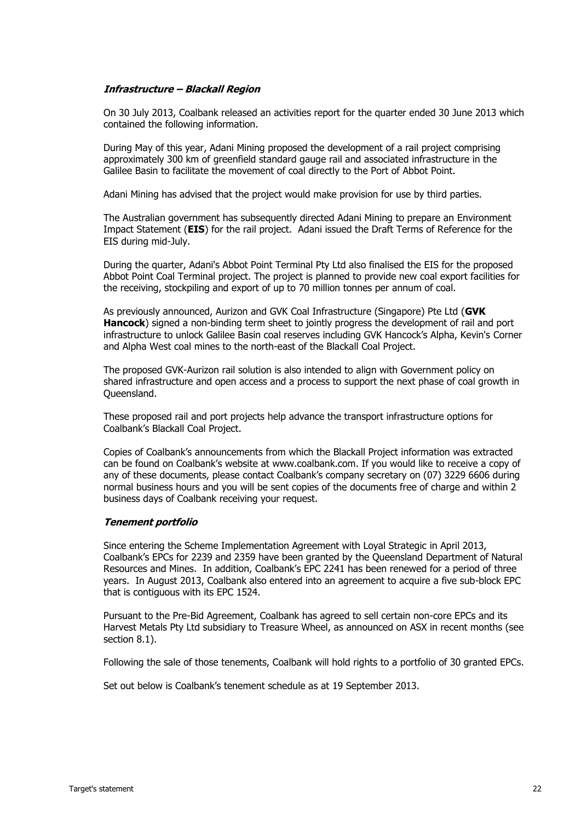#### **Infrastructure – Blackall Region**

On 30 July 2013, Coalbank released an activities report for the quarter ended 30 June 2013 which contained the following information.

During May of this year, Adani Mining proposed the development of a rail project comprising approximately 300 km of greenfield standard gauge rail and associated infrastructure in the Galilee Basin to facilitate the movement of coal directly to the Port of Abbot Point.

Adani Mining has advised that the project would make provision for use by third parties.

The Australian government has subsequently directed Adani Mining to prepare an Environment Impact Statement (**EIS**) for the rail project. Adani issued the Draft Terms of Reference for the EIS during mid-July.

During the quarter, Adani's Abbot Point Terminal Pty Ltd also finalised the EIS for the proposed Abbot Point Coal Terminal project. The project is planned to provide new coal export facilities for the receiving, stockpiling and export of up to 70 million tonnes per annum of coal.

As previously announced, Aurizon and GVK Coal Infrastructure (Singapore) Pte Ltd (**GVK Hancock**) signed a non-binding term sheet to jointly progress the development of rail and port infrastructure to unlock Galilee Basin coal reserves including GVK Hancock's Alpha, Kevin's Corner and Alpha West coal mines to the north-east of the Blackall Coal Project.

The proposed GVK-Aurizon rail solution is also intended to align with Government policy on shared infrastructure and open access and a process to support the next phase of coal growth in Queensland.

These proposed rail and port projects help advance the transport infrastructure options for Coalbank's Blackall Coal Project.

Copies of Coalbank's announcements from which the Blackall Project information was extracted can be found on Coalbank's website at www.coalbank.com. If you would like to receive a copy of any of these documents, please contact Coalbank's company secretary on (07) 3229 6606 during normal business hours and you will be sent copies of the documents free of charge and within 2 business days of Coalbank receiving your request.

#### **Tenement portfolio**

Since entering the Scheme Implementation Agreement with Loyal Strategic in April 2013, Coalbank's EPCs for 2239 and 2359 have been granted by the Queensland Department of Natural Resources and Mines. In addition, Coalbank's EPC 2241 has been renewed for a period of three years. In August 2013, Coalbank also entered into an agreement to acquire a five sub-block EPC that is contiguous with its EPC 1524.

Pursuant to the Pre-Bid Agreement, Coalbank has agreed to sell certain non-core EPCs and its Harvest Metals Pty Ltd subsidiary to Treasure Wheel, as announced on ASX in recent months (see section [8.1\)](#page-41-0).

Following the sale of those tenements, Coalbank will hold rights to a portfolio of 30 granted EPCs.

Set out below is Coalbank's tenement schedule as at 19 September 2013.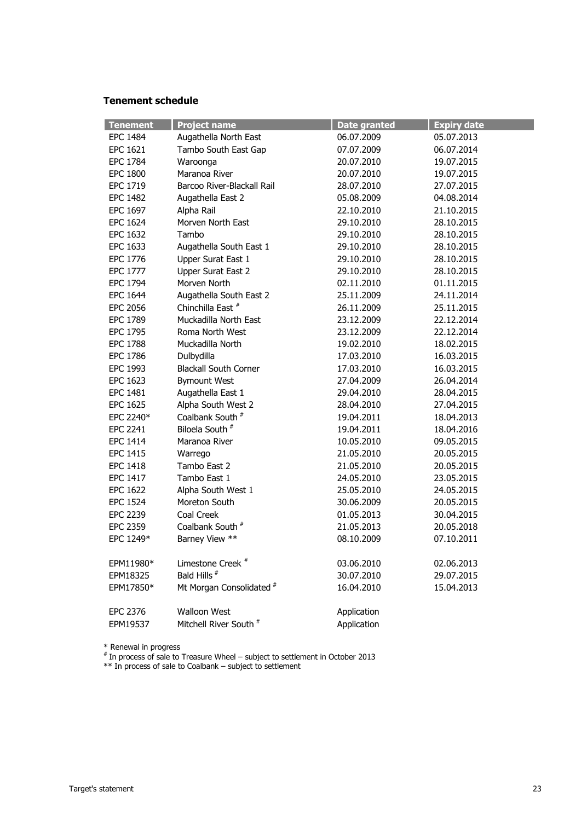#### **Tenement schedule**

| <b>Tenement</b> | <b>Project name</b>               | <b>Date granted</b> | <b>Expiry date</b> |
|-----------------|-----------------------------------|---------------------|--------------------|
| <b>EPC 1484</b> | Augathella North East             | 06.07.2009          | 05.07.2013         |
| <b>EPC 1621</b> | Tambo South East Gap              | 07.07.2009          | 06.07.2014         |
| <b>EPC 1784</b> | Waroonga                          | 20.07.2010          | 19.07.2015         |
| <b>EPC 1800</b> | Maranoa River                     | 20.07.2010          | 19.07.2015         |
| EPC 1719        | Barcoo River-Blackall Rail        | 28.07.2010          | 27.07.2015         |
| <b>EPC 1482</b> | Augathella East 2                 | 05.08.2009          | 04.08.2014         |
| EPC 1697        | Alpha Rail                        | 22.10.2010          | 21.10.2015         |
| <b>EPC 1624</b> | Morven North East                 | 29.10.2010          | 28.10.2015         |
| <b>EPC 1632</b> | Tambo                             | 29.10.2010          | 28.10.2015         |
| EPC 1633        | Augathella South East 1           | 29.10.2010          | 28.10.2015         |
| EPC 1776        | Upper Surat East 1                | 29.10.2010          | 28.10.2015         |
| <b>EPC 1777</b> | Upper Surat East 2                | 29.10.2010          | 28.10.2015         |
| <b>EPC 1794</b> | Morven North                      | 02.11.2010          | 01.11.2015         |
| <b>EPC 1644</b> | Augathella South East 2           | 25.11.2009          | 24.11.2014         |
| <b>EPC 2056</b> | Chinchilla East <sup>#</sup>      | 26.11.2009          | 25.11.2015         |
| <b>EPC 1789</b> | Muckadilla North East             | 23.12.2009          | 22.12.2014         |
| EPC 1795        | Roma North West                   | 23.12.2009          | 22.12.2014         |
| <b>EPC 1788</b> | Muckadilla North                  | 19.02.2010          | 18.02.2015         |
| <b>EPC 1786</b> | Dulbydilla                        | 17.03.2010          | 16.03.2015         |
| EPC 1993        | <b>Blackall South Corner</b>      | 17.03.2010          | 16.03.2015         |
| EPC 1623        | <b>Bymount West</b>               | 27.04.2009          | 26.04.2014         |
| <b>EPC 1481</b> | Augathella East 1                 | 29.04.2010          | 28.04.2015         |
| <b>EPC 1625</b> | Alpha South West 2                | 28.04.2010          | 27.04.2015         |
| EPC 2240*       | Coalbank South <sup>#</sup>       | 19.04.2011          | 18.04.2013         |
| <b>EPC 2241</b> | Biloela South <sup>#</sup>        | 19.04.2011          | 18.04.2016         |
| <b>EPC 1414</b> | Maranoa River                     | 10.05.2010          | 09.05.2015         |
| EPC 1415        | Warrego                           | 21.05.2010          | 20.05.2015         |
| <b>EPC 1418</b> | Tambo East 2                      | 21.05.2010          | 20.05.2015         |
| <b>EPC 1417</b> | Tambo East 1                      | 24.05.2010          | 23.05.2015         |
| <b>EPC 1622</b> | Alpha South West 1                | 25.05.2010          | 24.05.2015         |
| <b>EPC 1524</b> | Moreton South                     | 30.06.2009          | 20.05.2015         |
| <b>EPC 2239</b> | Coal Creek                        | 01.05.2013          | 30.04.2015         |
| <b>EPC 2359</b> | Coalbank South <sup>#</sup>       | 21.05.2013          | 20.05.2018         |
| EPC 1249*       | Barney View **                    | 08.10.2009          | 07.10.2011         |
|                 |                                   |                     |                    |
| EPM11980*       | Limestone Creek <sup>#</sup>      | 03.06.2010          | 02.06.2013         |
| EPM18325        | Bald Hills <sup>#</sup>           | 30.07.2010          | 29.07.2015         |
| EPM17850*       | Mt Morgan Consolidated #          | 16.04.2010          | 15.04.2013         |
| <b>EPC 2376</b> | <b>Walloon West</b>               | Application         |                    |
| EPM19537        | Mitchell River South <sup>#</sup> | Application         |                    |
|                 |                                   |                     |                    |

\* Renewal in progress

 $*$  In process of sale to Treasure Wheel – subject to settlement in October 2013

\*\* In process of sale to Coalbank – subject to settlement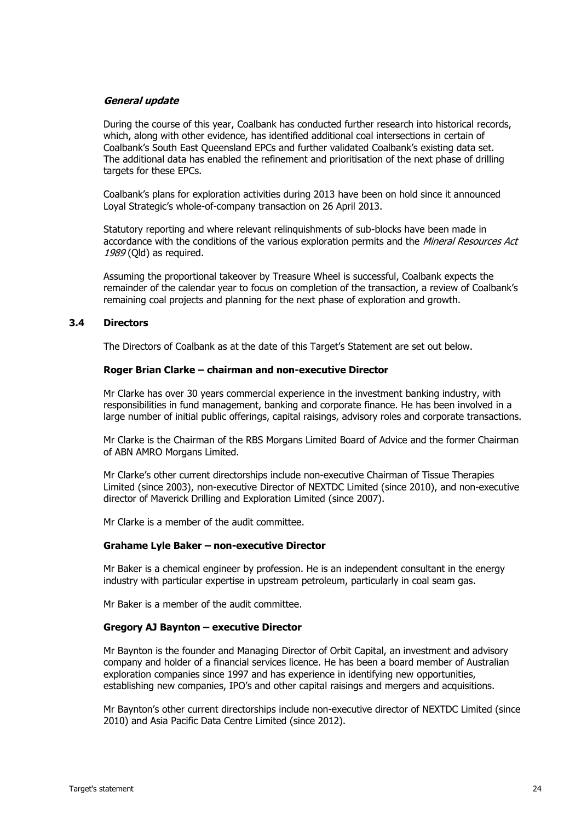#### **General update**

During the course of this year, Coalbank has conducted further research into historical records, which, along with other evidence, has identified additional coal intersections in certain of Coalbank's South East Queensland EPCs and further validated Coalbank's existing data set. The additional data has enabled the refinement and prioritisation of the next phase of drilling targets for these EPCs.

Coalbank's plans for exploration activities during 2013 have been on hold since it announced Loyal Strategic's whole-of-company transaction on 26 April 2013.

Statutory reporting and where relevant relinquishments of sub-blocks have been made in accordance with the conditions of the various exploration permits and the Mineral Resources Act 1989 (Qld) as required.

Assuming the proportional takeover by Treasure Wheel is successful, Coalbank expects the remainder of the calendar year to focus on completion of the transaction, a review of Coalbank's remaining coal projects and planning for the next phase of exploration and growth.

#### **3.4 Directors**

The Directors of Coalbank as at the date of this Target's Statement are set out below.

#### **Roger Brian Clarke – chairman and non-executive Director**

Mr Clarke has over 30 years commercial experience in the investment banking industry, with responsibilities in fund management, banking and corporate finance. He has been involved in a large number of initial public offerings, capital raisings, advisory roles and corporate transactions.

Mr Clarke is the Chairman of the RBS Morgans Limited Board of Advice and the former Chairman of ABN AMRO Morgans Limited.

Mr Clarke's other current directorships include non-executive Chairman of Tissue Therapies Limited (since 2003), non-executive Director of NEXTDC Limited (since 2010), and non-executive director of Maverick Drilling and Exploration Limited (since 2007).

Mr Clarke is a member of the audit committee.

#### **Grahame Lyle Baker – non-executive Director**

Mr Baker is a chemical engineer by profession. He is an independent consultant in the energy industry with particular expertise in upstream petroleum, particularly in coal seam gas.

Mr Baker is a member of the audit committee.

#### **Gregory AJ Baynton – executive Director**

Mr Baynton is the founder and Managing Director of Orbit Capital, an investment and advisory company and holder of a financial services licence. He has been a board member of Australian exploration companies since 1997 and has experience in identifying new opportunities, establishing new companies, IPO's and other capital raisings and mergers and acquisitions.

Mr Baynton's other current directorships include non-executive director of NEXTDC Limited (since 2010) and Asia Pacific Data Centre Limited (since 2012).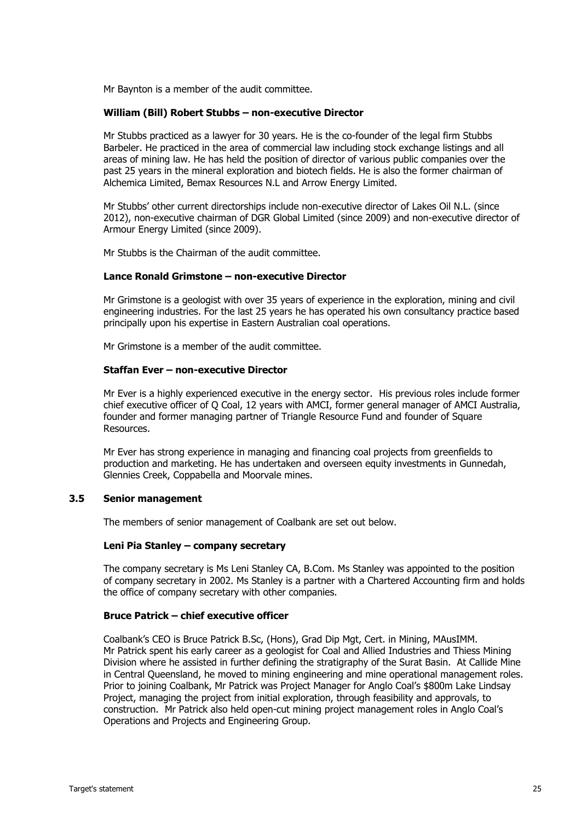Mr Baynton is a member of the audit committee.

#### **William (Bill) Robert Stubbs – non-executive Director**

Mr Stubbs practiced as a lawyer for 30 years. He is the co-founder of the legal firm Stubbs Barbeler. He practiced in the area of commercial law including stock exchange listings and all areas of mining law. He has held the position of director of various public companies over the past 25 years in the mineral exploration and biotech fields. He is also the former chairman of Alchemica Limited, Bemax Resources N.L and Arrow Energy Limited.

Mr Stubbs' other current directorships include non-executive director of Lakes Oil N.L. (since 2012), non-executive chairman of DGR Global Limited (since 2009) and non-executive director of Armour Energy Limited (since 2009).

Mr Stubbs is the Chairman of the audit committee.

#### **Lance Ronald Grimstone – non-executive Director**

Mr Grimstone is a geologist with over 35 years of experience in the exploration, mining and civil engineering industries. For the last 25 years he has operated his own consultancy practice based principally upon his expertise in Eastern Australian coal operations.

Mr Grimstone is a member of the audit committee.

#### **Staffan Ever – non-executive Director**

Mr Ever is a highly experienced executive in the energy sector. His previous roles include former chief executive officer of Q Coal, 12 years with AMCI, former general manager of AMCI Australia, founder and former managing partner of Triangle Resource Fund and founder of Square Resources.

Mr Ever has strong experience in managing and financing coal projects from greenfields to production and marketing. He has undertaken and overseen equity investments in Gunnedah, Glennies Creek, Coppabella and Moorvale mines.

#### **3.5 Senior management**

The members of senior management of Coalbank are set out below.

#### **Leni Pia Stanley – company secretary**

The company secretary is Ms Leni Stanley CA, B.Com. Ms Stanley was appointed to the position of company secretary in 2002. Ms Stanley is a partner with a Chartered Accounting firm and holds the office of company secretary with other companies.

#### **Bruce Patrick – chief executive officer**

Coalbank's CEO is Bruce Patrick B.Sc, (Hons), Grad Dip Mgt, Cert. in Mining, MAusIMM. Mr Patrick spent his early career as a geologist for Coal and Allied Industries and Thiess Mining Division where he assisted in further defining the stratigraphy of the Surat Basin. At Callide Mine in Central Queensland, he moved to mining engineering and mine operational management roles. Prior to joining Coalbank, Mr Patrick was Project Manager for Anglo Coal's \$800m Lake Lindsay Project, managing the project from initial exploration, through feasibility and approvals, to construction. Mr Patrick also held open-cut mining project management roles in Anglo Coal's Operations and Projects and Engineering Group.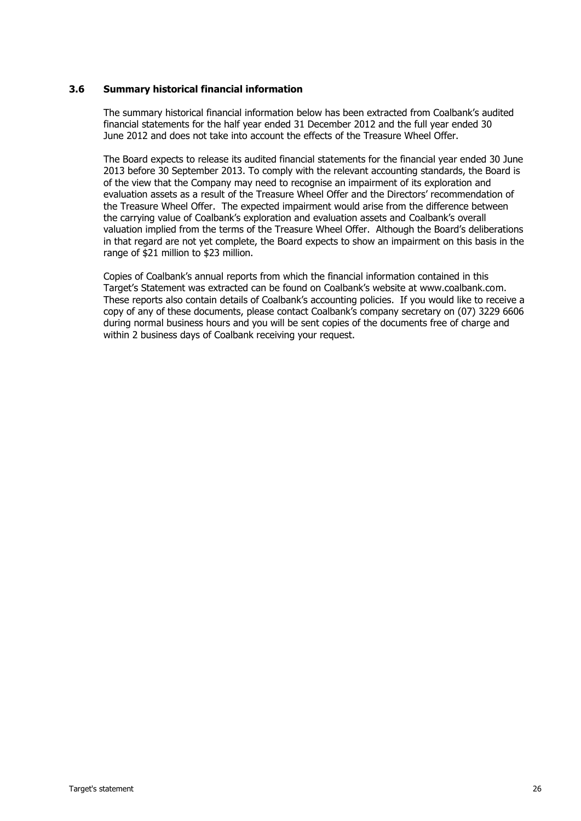#### **3.6 Summary historical financial information**

The summary historical financial information below has been extracted from Coalbank's audited financial statements for the half year ended 31 December 2012 and the full year ended 30 June 2012 and does not take into account the effects of the Treasure Wheel Offer.

The Board expects to release its audited financial statements for the financial year ended 30 June 2013 before 30 September 2013. To comply with the relevant accounting standards, the Board is of the view that the Company may need to recognise an impairment of its exploration and evaluation assets as a result of the Treasure Wheel Offer and the Directors' recommendation of the Treasure Wheel Offer. The expected impairment would arise from the difference between the carrying value of Coalbank's exploration and evaluation assets and Coalbank's overall valuation implied from the terms of the Treasure Wheel Offer. Although the Board's deliberations in that regard are not yet complete, the Board expects to show an impairment on this basis in the range of \$21 million to \$23 million.

Copies of Coalbank's annual reports from which the financial information contained in this Target's Statement was extracted can be found on Coalbank's website at www.coalbank.com. These reports also contain details of Coalbank's accounting policies. If you would like to receive a copy of any of these documents, please contact Coalbank's company secretary on (07) 3229 6606 during normal business hours and you will be sent copies of the documents free of charge and within 2 business days of Coalbank receiving your request.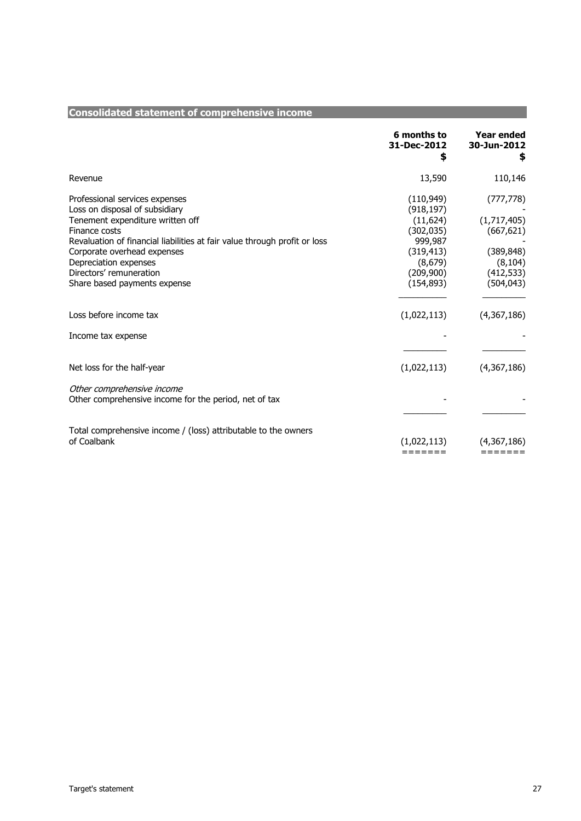|                                                                           | 6 months to            | <b>Year ended</b> |
|---------------------------------------------------------------------------|------------------------|-------------------|
|                                                                           | 31-Dec-2012            | 30-Jun-2012       |
|                                                                           | \$                     | \$                |
| Revenue                                                                   | 13,590                 | 110,146           |
| Professional services expenses                                            | (110, 949)             | (777, 778)        |
| Loss on disposal of subsidiary                                            | (918, 197)             |                   |
| Tenement expenditure written off                                          | (11, 624)              | (1,717,405)       |
| Finance costs                                                             | (302, 035)             | (667, 621)        |
| Revaluation of financial liabilities at fair value through profit or loss | 999,987                |                   |
| Corporate overhead expenses                                               | (319, 413)             | (389, 848)        |
| Depreciation expenses                                                     | (8,679)                | (8, 104)          |
| Directors' remuneration                                                   | (209,900)              | (412, 533)        |
| Share based payments expense                                              | (154, 893)             | (504, 043)        |
|                                                                           |                        |                   |
| Loss before income tax                                                    | (1,022,113)            | (4,367,186)       |
| Income tax expense                                                        |                        |                   |
|                                                                           |                        |                   |
| Net loss for the half-year                                                | (1,022,113)            | (4,367,186)       |
| Other comprehensive income                                                |                        |                   |
| Other comprehensive income for the period, net of tax                     |                        |                   |
|                                                                           |                        |                   |
| Total comprehensive income / (loss) attributable to the owners            |                        |                   |
| of Coalbank                                                               |                        | (4,367,186)       |
|                                                                           | (1,022,113)<br>======= | =======           |
|                                                                           |                        |                   |

#### **Consolidated statement of comprehensive income**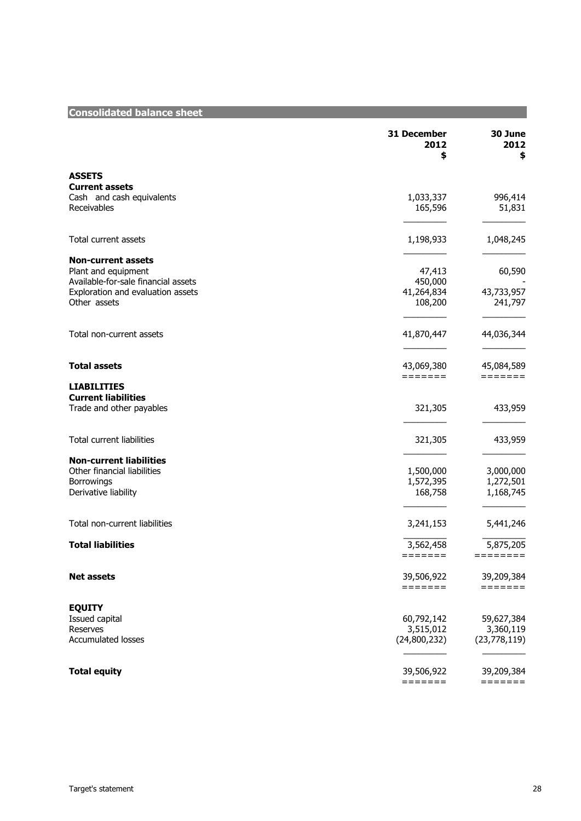| <b>Consolidated balance sheet</b>                |                           |                        |
|--------------------------------------------------|---------------------------|------------------------|
|                                                  | 31 December<br>2012<br>\$ | 30 June<br>2012<br>\$  |
| <b>ASSETS</b>                                    |                           |                        |
| <b>Current assets</b>                            |                           |                        |
| Cash and cash equivalents                        | 1,033,337                 | 996,414                |
| Receivables                                      | 165,596                   | 51,831                 |
| <b>Total current assets</b>                      | 1,198,933                 | 1,048,245              |
|                                                  |                           |                        |
| <b>Non-current assets</b><br>Plant and equipment | 47,413                    | 60,590                 |
| Available-for-sale financial assets              | 450,000                   |                        |
| Exploration and evaluation assets                | 41,264,834                | 43,733,957             |
| Other assets                                     | 108,200                   | 241,797                |
|                                                  |                           |                        |
| Total non-current assets                         | 41,870,447                | 44,036,344             |
| <b>Total assets</b>                              | 43,069,380                | 45,084,589             |
|                                                  | =======                   | $=$ = = = = = =        |
| <b>LIABILITIES</b>                               |                           |                        |
| <b>Current liabilities</b>                       |                           |                        |
| Trade and other payables                         | 321,305                   | 433,959                |
| <b>Total current liabilities</b>                 | 321,305                   | 433,959                |
|                                                  |                           |                        |
| <b>Non-current liabilities</b>                   |                           |                        |
| Other financial liabilities                      | 1,500,000                 | 3,000,000              |
| <b>Borrowings</b><br>Derivative liability        | 1,572,395<br>168,758      | 1,272,501<br>1,168,745 |
|                                                  |                           |                        |
| Total non-current liabilities                    | 3,241,153                 | 5,441,246              |
| <b>Total liabilities</b>                         | 3,562,458                 | 5,875,205              |
|                                                  | =======                   |                        |
| <b>Net assets</b>                                | 39,506,922                | 39,209,384             |
|                                                  | =======                   | $=$ = = = = = =        |
| <b>EQUITY</b>                                    |                           |                        |
| Issued capital                                   | 60,792,142                | 59,627,384             |
| Reserves                                         | 3,515,012                 | 3,360,119              |
| <b>Accumulated losses</b>                        | (24,800,232)              | (23,778,119)           |
| <b>Total equity</b>                              | 39,506,922                | 39,209,384             |
|                                                  | =======                   | =======                |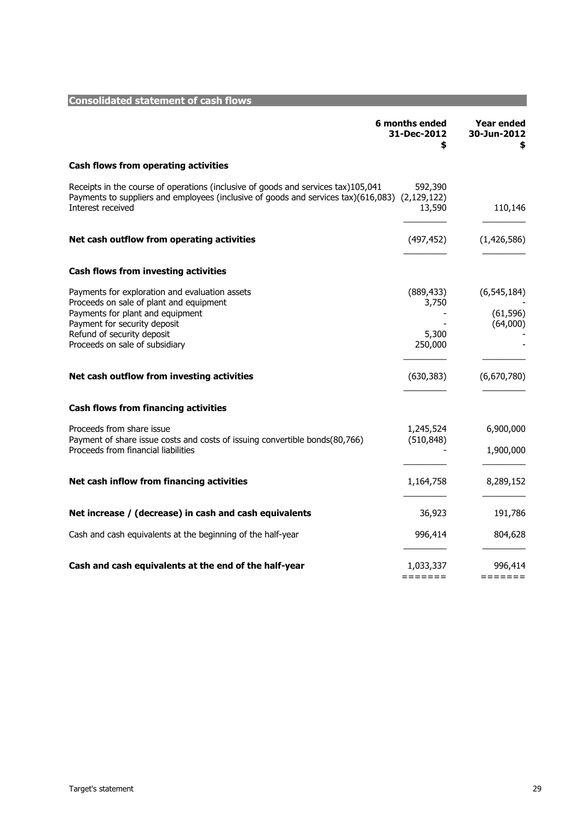| <b>Consolidated statement of cash flows</b>                                                                                                                                                                                   |                                         |                                        |
|-------------------------------------------------------------------------------------------------------------------------------------------------------------------------------------------------------------------------------|-----------------------------------------|----------------------------------------|
|                                                                                                                                                                                                                               | 6 months ended<br>31-Dec-2012<br>\$     | Year ended<br>30-Jun-2012<br>\$        |
| <b>Cash flows from operating activities</b>                                                                                                                                                                                   |                                         |                                        |
| Receipts in the course of operations (inclusive of goods and services tax)105,041<br>Payments to suppliers and employees (inclusive of goods and services tax)(616,083) (2,129,122)<br>Interest received                      | 592,390<br>13,590                       | 110,146                                |
| Net cash outflow from operating activities                                                                                                                                                                                    | (497, 452)                              | (1,426,586)                            |
| <b>Cash flows from investing activities</b>                                                                                                                                                                                   |                                         |                                        |
| Payments for exploration and evaluation assets<br>Proceeds on sale of plant and equipment<br>Payments for plant and equipment<br>Payment for security deposit<br>Refund of security deposit<br>Proceeds on sale of subsidiary | (889, 433)<br>3,750<br>5,300<br>250,000 | (6, 545, 184)<br>(61, 596)<br>(64,000) |
| Net cash outflow from investing activities                                                                                                                                                                                    | (630, 383)                              | (6,670,780)                            |
| <b>Cash flows from financing activities</b>                                                                                                                                                                                   |                                         |                                        |
| Proceeds from share issue<br>Payment of share issue costs and costs of issuing convertible bonds(80,766)<br>Proceeds from financial liabilities                                                                               | 1,245,524<br>(510, 848)                 | 6,900,000<br>1,900,000                 |
| Net cash inflow from financing activities                                                                                                                                                                                     | 1,164,758                               | 8,289,152                              |
| Net increase / (decrease) in cash and cash equivalents                                                                                                                                                                        | 36,923                                  | 191,786                                |
| Cash and cash equivalents at the beginning of the half-year                                                                                                                                                                   | 996,414                                 | 804,628                                |
| Cash and cash equivalents at the end of the half-year                                                                                                                                                                         | 1,033,337<br>$=$ = = = = = =            | 996,414<br>$=$ = = = = = =             |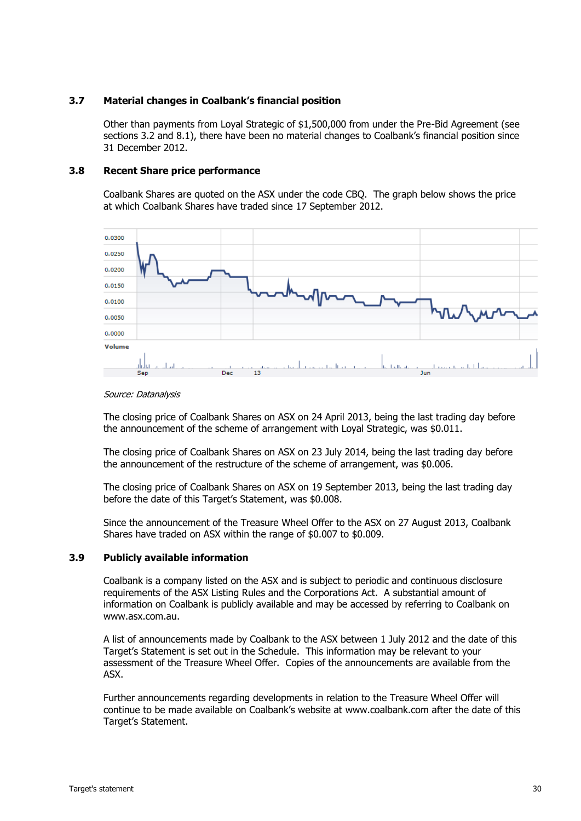#### **3.7 Material changes in Coalbank's financial position**

Other than payments from Loyal Strategic of \$1,500,000 from under the Pre-Bid Agreement (see sections [3.2](#page-21-0) and [8.1\)](#page-41-0), there have been no material changes to Coalbank's financial position since 31 December 2012.

#### **3.8 Recent Share price performance**

Coalbank Shares are quoted on the ASX under the code CBQ. The graph below shows the price at which Coalbank Shares have traded since 17 September 2012.



#### Source: Datanalysis

The closing price of Coalbank Shares on ASX on 24 April 2013, being the last trading day before the announcement of the scheme of arrangement with Loyal Strategic, was \$0.011.

The closing price of Coalbank Shares on ASX on 23 July 2014, being the last trading day before the announcement of the restructure of the scheme of arrangement, was \$0.006.

The closing price of Coalbank Shares on ASX on 19 September 2013, being the last trading day before the date of this Target's Statement, was \$0.008.

Since the announcement of the Treasure Wheel Offer to the ASX on 27 August 2013, Coalbank Shares have traded on ASX within the range of \$0.007 to \$0.009.

#### **3.9 Publicly available information**

Coalbank is a company listed on the ASX and is subject to periodic and continuous disclosure requirements of the ASX Listing Rules and the Corporations Act. A substantial amount of information on Coalbank is publicly available and may be accessed by referring to Coalbank on www.asx.com.au.

A list of announcements made by Coalbank to the ASX between 1 July 2012 and the date of this Target's Statement is set out in the Schedule. This information may be relevant to your assessment of the Treasure Wheel Offer. Copies of the announcements are available from the ASX.

Further announcements regarding developments in relation to the Treasure Wheel Offer will continue to be made available on Coalbank's website at www.coalbank.com after the date of this Target's Statement.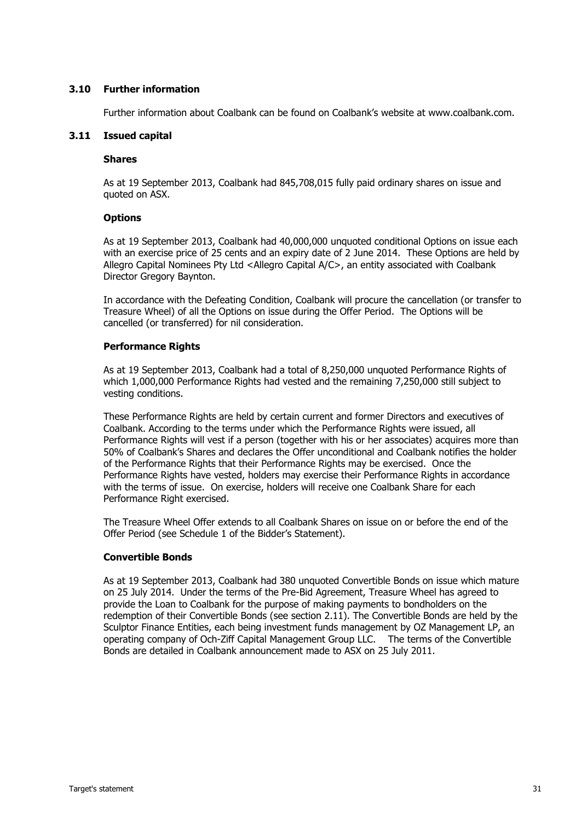#### **3.10 Further information**

Further information about Coalbank can be found on Coalbank's website at www.coalbank.com.

#### **3.11 Issued capital**

#### **Shares**

As at 19 September 2013, Coalbank had 845,708,015 fully paid ordinary shares on issue and quoted on ASX.

#### **Options**

As at 19 September 2013, Coalbank had 40,000,000 unquoted conditional Options on issue each with an exercise price of 25 cents and an expiry date of 2 June 2014. These Options are held by Allegro Capital Nominees Pty Ltd <Allegro Capital A/C>, an entity associated with Coalbank Director Gregory Baynton.

In accordance with the Defeating Condition, Coalbank will procure the cancellation (or transfer to Treasure Wheel) of all the Options on issue during the Offer Period. The Options will be cancelled (or transferred) for nil consideration.

#### **Performance Rights**

As at 19 September 2013, Coalbank had a total of 8,250,000 unquoted Performance Rights of which 1,000,000 Performance Rights had vested and the remaining 7,250,000 still subject to vesting conditions.

These Performance Rights are held by certain current and former Directors and executives of Coalbank. According to the terms under which the Performance Rights were issued, all Performance Rights will vest if a person (together with his or her associates) acquires more than 50% of Coalbank's Shares and declares the Offer unconditional and Coalbank notifies the holder of the Performance Rights that their Performance Rights may be exercised. Once the Performance Rights have vested, holders may exercise their Performance Rights in accordance with the terms of issue. On exercise, holders will receive one Coalbank Share for each Performance Right exercised.

The Treasure Wheel Offer extends to all Coalbank Shares on issue on or before the end of the Offer Period (see Schedule 1 of the Bidder's Statement).

#### **Convertible Bonds**

As at 19 September 2013, Coalbank had 380 unquoted Convertible Bonds on issue which mature on 25 July 2014. Under the terms of the Pre-Bid Agreement, Treasure Wheel has agreed to provide the Loan to Coalbank for the purpose of making payments to bondholders on the redemption of their Convertible Bonds (see section [2.11\)](#page-18-0). The Convertible Bonds are held by the Sculptor Finance Entities, each being investment funds management by OZ Management LP, an operating company of Och-Ziff Capital Management Group LLC. The terms of the Convertible Bonds are detailed in Coalbank announcement made to ASX on 25 July 2011.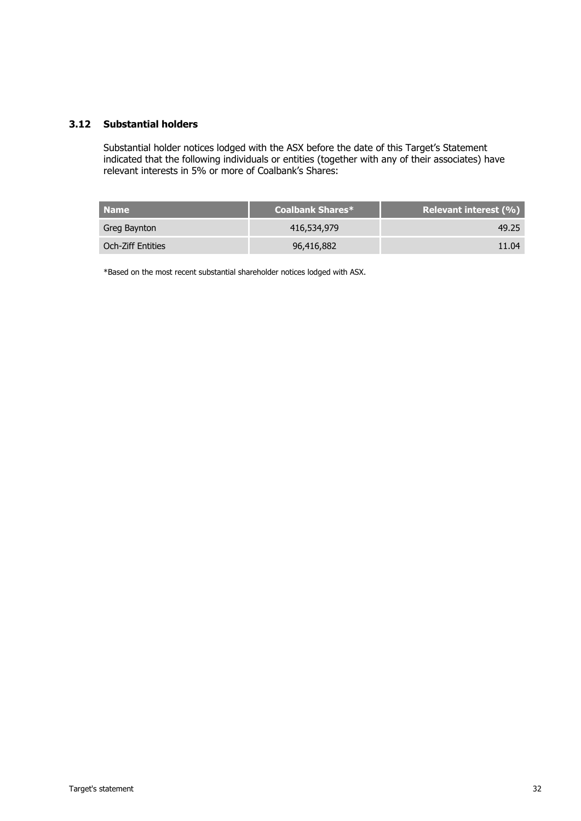#### **3.12 Substantial holders**

Substantial holder notices lodged with the ASX before the date of this Target's Statement indicated that the following individuals or entities (together with any of their associates) have relevant interests in 5% or more of Coalbank's Shares:

| <b>Name</b>       | Coalbank Shares* | <b>Relevant interest (%)</b> |
|-------------------|------------------|------------------------------|
| Greg Baynton      | 416,534,979      | 49.25                        |
| Och-Ziff Entities | 96,416,882       | 11.04                        |

\*Based on the most recent substantial shareholder notices lodged with ASX.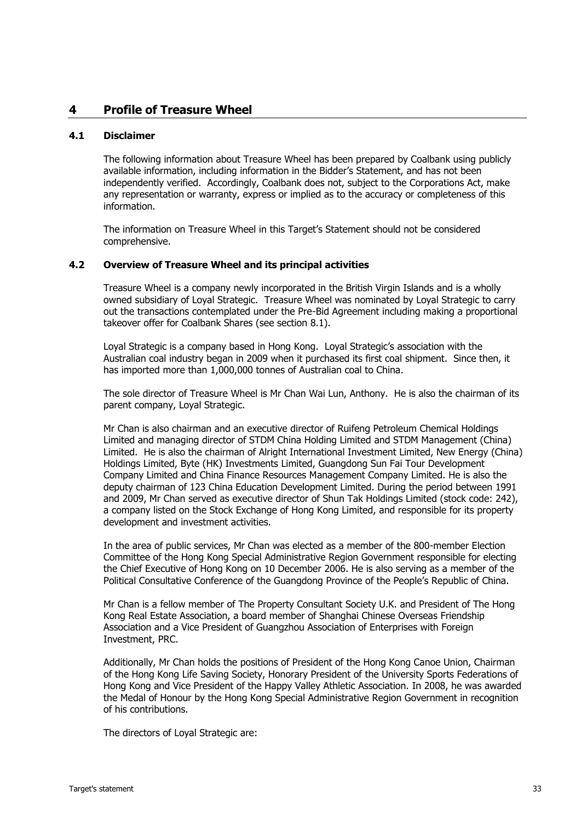#### <span id="page-34-0"></span>**4 Profile of Treasure Wheel**

#### **4.1 Disclaimer**

The following information about Treasure Wheel has been prepared by Coalbank using publicly available information, including information in the Bidder's Statement, and has not been independently verified. Accordingly, Coalbank does not, subject to the Corporations Act, make any representation or warranty, express or implied as to the accuracy or completeness of this information.

The information on Treasure Wheel in this Target's Statement should not be considered comprehensive.

#### **4.2 Overview of Treasure Wheel and its principal activities**

Treasure Wheel is a company newly incorporated in the British Virgin Islands and is a wholly owned subsidiary of Loyal Strategic. Treasure Wheel was nominated by Loyal Strategic to carry out the transactions contemplated under the Pre-Bid Agreement including making a proportional takeover offer for Coalbank Shares (see section [8.1\)](#page-41-0).

Loyal Strategic is a company based in Hong Kong. Loyal Strategic's association with the Australian coal industry began in 2009 when it purchased its first coal shipment. Since then, it has imported more than 1,000,000 tonnes of Australian coal to China.

The sole director of Treasure Wheel is Mr Chan Wai Lun, Anthony. He is also the chairman of its parent company, Loyal Strategic.

Mr Chan is also chairman and an executive director of Ruifeng Petroleum Chemical Holdings Limited and managing director of STDM China Holding Limited and STDM Management (China) Limited. He is also the chairman of Alright International Investment Limited, New Energy (China) Holdings Limited, Byte (HK) Investments Limited, Guangdong Sun Fai Tour Development Company Limited and China Finance Resources Management Company Limited. He is also the deputy chairman of 123 China Education Development Limited. During the period between 1991 and 2009, Mr Chan served as executive director of Shun Tak Holdings Limited (stock code: 242), a company listed on the Stock Exchange of Hong Kong Limited, and responsible for its property development and investment activities.

In the area of public services, Mr Chan was elected as a member of the 800-member Election Committee of the Hong Kong Special Administrative Region Government responsible for electing the Chief Executive of Hong Kong on 10 December 2006. He is also serving as a member of the Political Consultative Conference of the Guangdong Province of the People's Republic of China.

Mr Chan is a fellow member of The Property Consultant Society U.K. and President of The Hong Kong Real Estate Association, a board member of Shanghai Chinese Overseas Friendship Association and a Vice President of Guangzhou Association of Enterprises with Foreign Investment, PRC.

Additionally, Mr Chan holds the positions of President of the Hong Kong Canoe Union, Chairman of the Hong Kong Life Saving Society, Honorary President of the University Sports Federations of Hong Kong and Vice President of the Happy Valley Athletic Association. In 2008, he was awarded the Medal of Honour by the Hong Kong Special Administrative Region Government in recognition of his contributions.

The directors of Loyal Strategic are: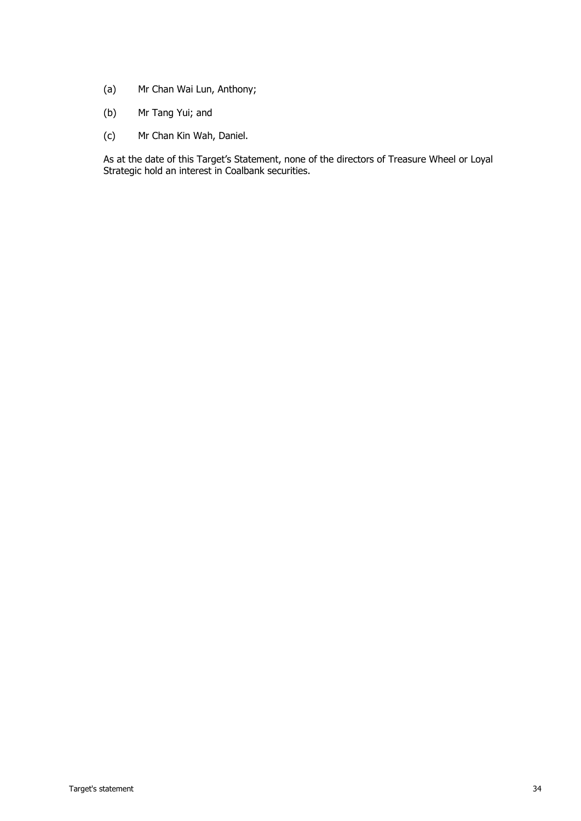- (a) Mr Chan Wai Lun, Anthony;
- (b) Mr Tang Yui; and
- (c) Mr Chan Kin Wah, Daniel.

As at the date of this Target's Statement, none of the directors of Treasure Wheel or Loyal Strategic hold an interest in Coalbank securities.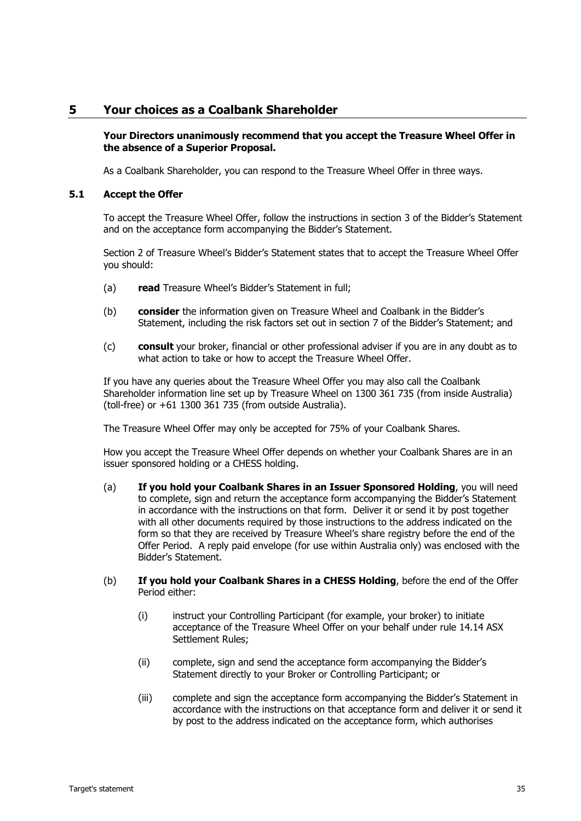#### <span id="page-36-0"></span>**5 Your choices as a Coalbank Shareholder**

#### **Your Directors unanimously recommend that you accept the Treasure Wheel Offer in the absence of a Superior Proposal.**

As a Coalbank Shareholder, you can respond to the Treasure Wheel Offer in three ways.

#### <span id="page-36-1"></span>**5.1 Accept the Offer**

To accept the Treasure Wheel Offer, follow the instructions in section 3 of the Bidder's Statement and on the acceptance form accompanying the Bidder's Statement.

Section 2 of Treasure Wheel's Bidder's Statement states that to accept the Treasure Wheel Offer you should:

- (a) **read** Treasure Wheel's Bidder's Statement in full;
- (b) **consider** the information given on Treasure Wheel and Coalbank in the Bidder's Statement, including the risk factors set out in section 7 of the Bidder's Statement; and
- (c) **consult** your broker, financial or other professional adviser if you are in any doubt as to what action to take or how to accept the Treasure Wheel Offer.

If you have any queries about the Treasure Wheel Offer you may also call the Coalbank Shareholder information line set up by Treasure Wheel on 1300 361 735 (from inside Australia) (toll-free) or +61 1300 361 735 (from outside Australia).

The Treasure Wheel Offer may only be accepted for 75% of your Coalbank Shares.

How you accept the Treasure Wheel Offer depends on whether your Coalbank Shares are in an issuer sponsored holding or a CHESS holding.

- (a) **If you hold your Coalbank Shares in an Issuer Sponsored Holding**, you will need to complete, sign and return the acceptance form accompanying the Bidder's Statement in accordance with the instructions on that form. Deliver it or send it by post together with all other documents required by those instructions to the address indicated on the form so that they are received by Treasure Wheel's share registry before the end of the Offer Period. A reply paid envelope (for use within Australia only) was enclosed with the Bidder's Statement.
- (b) **If you hold your Coalbank Shares in a CHESS Holding**, before the end of the Offer Period either:
	- (i) instruct your Controlling Participant (for example, your broker) to initiate acceptance of the Treasure Wheel Offer on your behalf under rule 14.14 ASX Settlement Rules;
	- (ii) complete, sign and send the acceptance form accompanying the Bidder's Statement directly to your Broker or Controlling Participant; or
	- (iii) complete and sign the acceptance form accompanying the Bidder's Statement in accordance with the instructions on that acceptance form and deliver it or send it by post to the address indicated on the acceptance form, which authorises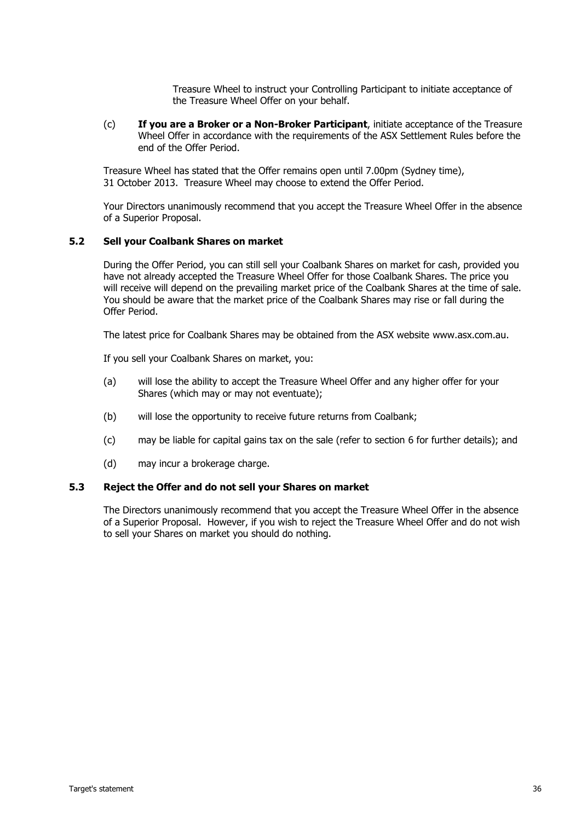Treasure Wheel to instruct your Controlling Participant to initiate acceptance of the Treasure Wheel Offer on your behalf.

(c) **If you are a Broker or a Non-Broker Participant**, initiate acceptance of the Treasure Wheel Offer in accordance with the requirements of the ASX Settlement Rules before the end of the Offer Period.

Treasure Wheel has stated that the Offer remains open until 7.00pm (Sydney time), 31 October 2013. Treasure Wheel may choose to extend the Offer Period.

Your Directors unanimously recommend that you accept the Treasure Wheel Offer in the absence of a Superior Proposal.

#### <span id="page-37-1"></span>**5.2 Sell your Coalbank Shares on market**

During the Offer Period, you can still sell your Coalbank Shares on market for cash, provided you have not already accepted the Treasure Wheel Offer for those Coalbank Shares. The price you will receive will depend on the prevailing market price of the Coalbank Shares at the time of sale. You should be aware that the market price of the Coalbank Shares may rise or fall during the Offer Period.

The latest price for Coalbank Shares may be obtained from the ASX website www.asx.com.au.

If you sell your Coalbank Shares on market, you:

- (a) will lose the ability to accept the Treasure Wheel Offer and any higher offer for your Shares (which may or may not eventuate);
- (b) will lose the opportunity to receive future returns from Coalbank;
- (c) may be liable for capital gains tax on the sale (refer to section [6](#page-37-2) for further details); and
- (d) may incur a brokerage charge.

#### <span id="page-37-0"></span>**5.3 Reject the Offer and do not sell your Shares on market**

<span id="page-37-2"></span>The Directors unanimously recommend that you accept the Treasure Wheel Offer in the absence of a Superior Proposal. However, if you wish to reject the Treasure Wheel Offer and do not wish to sell your Shares on market you should do nothing.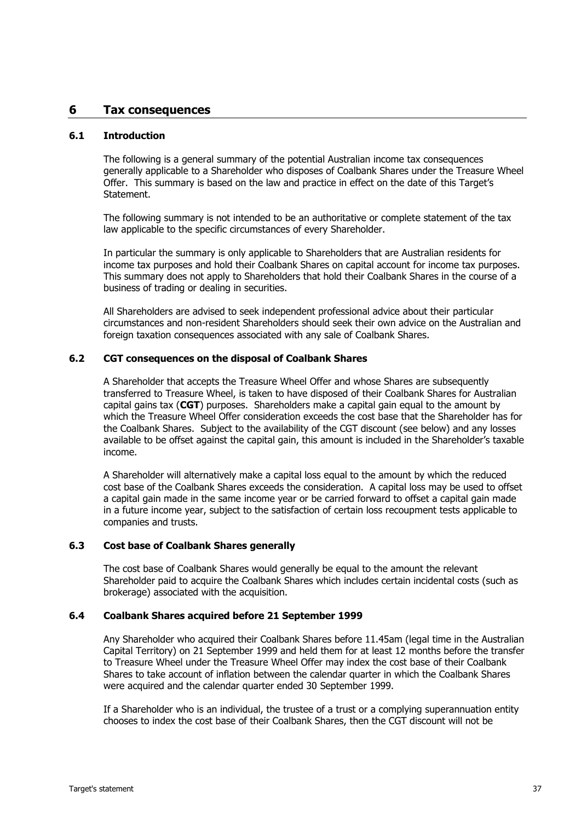#### <span id="page-38-0"></span>**6 Tax consequences**

#### **6.1 Introduction**

The following is a general summary of the potential Australian income tax consequences generally applicable to a Shareholder who disposes of Coalbank Shares under the Treasure Wheel Offer. This summary is based on the law and practice in effect on the date of this Target's Statement.

The following summary is not intended to be an authoritative or complete statement of the tax law applicable to the specific circumstances of every Shareholder.

In particular the summary is only applicable to Shareholders that are Australian residents for income tax purposes and hold their Coalbank Shares on capital account for income tax purposes. This summary does not apply to Shareholders that hold their Coalbank Shares in the course of a business of trading or dealing in securities.

All Shareholders are advised to seek independent professional advice about their particular circumstances and non-resident Shareholders should seek their own advice on the Australian and foreign taxation consequences associated with any sale of Coalbank Shares.

#### **6.2 CGT consequences on the disposal of Coalbank Shares**

A Shareholder that accepts the Treasure Wheel Offer and whose Shares are subsequently transferred to Treasure Wheel, is taken to have disposed of their Coalbank Shares for Australian capital gains tax (**CGT**) purposes. Shareholders make a capital gain equal to the amount by which the Treasure Wheel Offer consideration exceeds the cost base that the Shareholder has for the Coalbank Shares. Subject to the availability of the CGT discount (see below) and any losses available to be offset against the capital gain, this amount is included in the Shareholder's taxable income.

A Shareholder will alternatively make a capital loss equal to the amount by which the reduced cost base of the Coalbank Shares exceeds the consideration. A capital loss may be used to offset a capital gain made in the same income year or be carried forward to offset a capital gain made in a future income year, subject to the satisfaction of certain loss recoupment tests applicable to companies and trusts.

#### **6.3 Cost base of Coalbank Shares generally**

The cost base of Coalbank Shares would generally be equal to the amount the relevant Shareholder paid to acquire the Coalbank Shares which includes certain incidental costs (such as brokerage) associated with the acquisition.

#### **6.4 Coalbank Shares acquired before 21 September 1999**

Any Shareholder who acquired their Coalbank Shares before 11.45am (legal time in the Australian Capital Territory) on 21 September 1999 and held them for at least 12 months before the transfer to Treasure Wheel under the Treasure Wheel Offer may index the cost base of their Coalbank Shares to take account of inflation between the calendar quarter in which the Coalbank Shares were acquired and the calendar quarter ended 30 September 1999.

If a Shareholder who is an individual, the trustee of a trust or a complying superannuation entity chooses to index the cost base of their Coalbank Shares, then the CGT discount will not be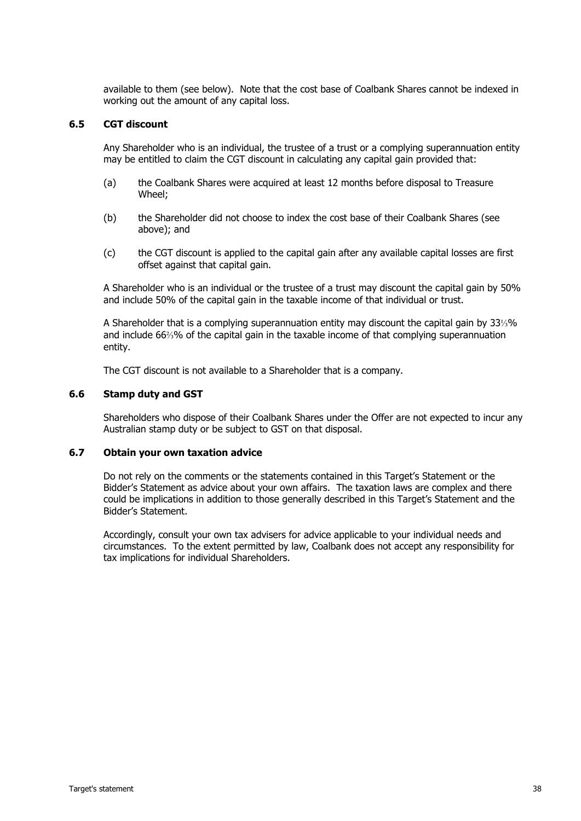available to them (see below). Note that the cost base of Coalbank Shares cannot be indexed in working out the amount of any capital loss.

#### **6.5 CGT discount**

Any Shareholder who is an individual, the trustee of a trust or a complying superannuation entity may be entitled to claim the CGT discount in calculating any capital gain provided that:

- (a) the Coalbank Shares were acquired at least 12 months before disposal to Treasure Wheel;
- (b) the Shareholder did not choose to index the cost base of their Coalbank Shares (see above); and
- (c) the CGT discount is applied to the capital gain after any available capital losses are first offset against that capital gain.

A Shareholder who is an individual or the trustee of a trust may discount the capital gain by 50% and include 50% of the capital gain in the taxable income of that individual or trust.

A Shareholder that is a complying superannuation entity may discount the capital gain by 33⅓% and include 66⅔% of the capital gain in the taxable income of that complying superannuation entity.

The CGT discount is not available to a Shareholder that is a company.

#### **6.6 Stamp duty and GST**

Shareholders who dispose of their Coalbank Shares under the Offer are not expected to incur any Australian stamp duty or be subject to GST on that disposal.

#### **6.7 Obtain your own taxation advice**

Do not rely on the comments or the statements contained in this Target's Statement or the Bidder's Statement as advice about your own affairs. The taxation laws are complex and there could be implications in addition to those generally described in this Target's Statement and the Bidder's Statement.

Accordingly, consult your own tax advisers for advice applicable to your individual needs and circumstances. To the extent permitted by law, Coalbank does not accept any responsibility for tax implications for individual Shareholders.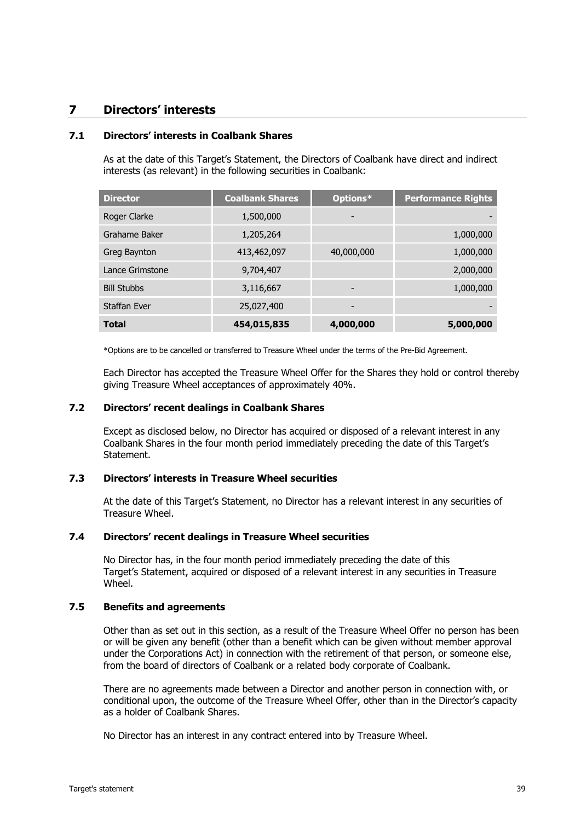#### <span id="page-40-0"></span>**7 Directors' interests**

#### **7.1 Directors' interests in Coalbank Shares**

As at the date of this Target's Statement, the Directors of Coalbank have direct and indirect interests (as relevant) in the following securities in Coalbank:

| <b>Director</b>     | <b>Coalbank Shares</b> | Options*   | <b>Performance Rights</b> |
|---------------------|------------------------|------------|---------------------------|
| Roger Clarke        | 1,500,000              |            |                           |
| Grahame Baker       | 1,205,264              |            | 1,000,000                 |
| Greg Baynton        | 413,462,097            | 40,000,000 | 1,000,000                 |
| Lance Grimstone     | 9,704,407              |            | 2,000,000                 |
| <b>Bill Stubbs</b>  | 3,116,667              |            | 1,000,000                 |
| <b>Staffan Ever</b> | 25,027,400             |            |                           |
| <b>Total</b>        | 454,015,835            | 4,000,000  | 5,000,000                 |

\*Options are to be cancelled or transferred to Treasure Wheel under the terms of the Pre-Bid Agreement.

Each Director has accepted the Treasure Wheel Offer for the Shares they hold or control thereby giving Treasure Wheel acceptances of approximately 40%.

#### **7.2 Directors' recent dealings in Coalbank Shares**

Except as disclosed below, no Director has acquired or disposed of a relevant interest in any Coalbank Shares in the four month period immediately preceding the date of this Target's Statement.

#### **7.3 Directors' interests in Treasure Wheel securities**

At the date of this Target's Statement, no Director has a relevant interest in any securities of Treasure Wheel.

#### **7.4 Directors' recent dealings in Treasure Wheel securities**

No Director has, in the four month period immediately preceding the date of this Target's Statement, acquired or disposed of a relevant interest in any securities in Treasure Wheel.

#### **7.5 Benefits and agreements**

Other than as set out in this section, as a result of the Treasure Wheel Offer no person has been or will be given any benefit (other than a benefit which can be given without member approval under the Corporations Act) in connection with the retirement of that person, or someone else, from the board of directors of Coalbank or a related body corporate of Coalbank.

There are no agreements made between a Director and another person in connection with, or conditional upon, the outcome of the Treasure Wheel Offer, other than in the Director's capacity as a holder of Coalbank Shares.

No Director has an interest in any contract entered into by Treasure Wheel.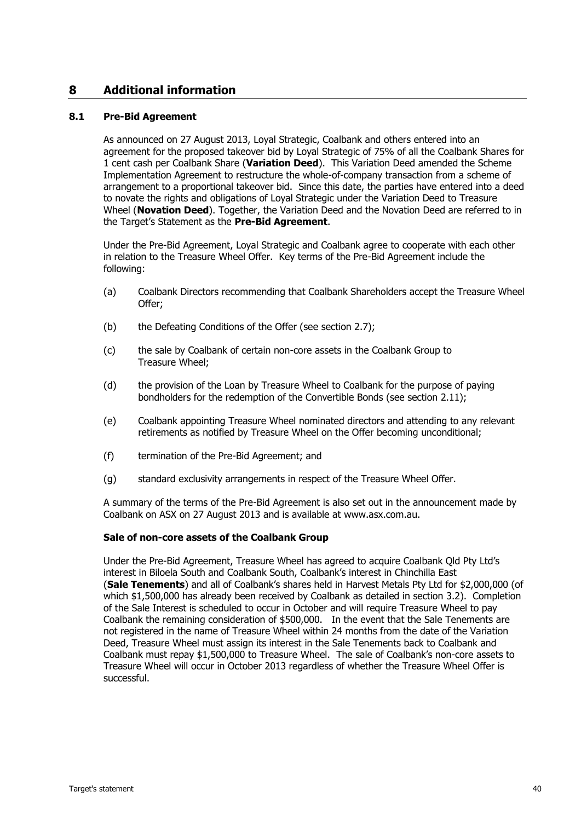#### **8 Additional information**

#### <span id="page-41-0"></span>**8.1 Pre-Bid Agreement**

As announced on 27 August 2013, Loyal Strategic, Coalbank and others entered into an agreement for the proposed takeover bid by Loyal Strategic of 75% of all the Coalbank Shares for 1 cent cash per Coalbank Share (**Variation Deed**). This Variation Deed amended the Scheme Implementation Agreement to restructure the whole-of-company transaction from a scheme of arrangement to a proportional takeover bid. Since this date, the parties have entered into a deed to novate the rights and obligations of Loyal Strategic under the Variation Deed to Treasure Wheel (**Novation Deed**). Together, the Variation Deed and the Novation Deed are referred to in the Target's Statement as the **Pre-Bid Agreement**.

Under the Pre-Bid Agreement, Loyal Strategic and Coalbank agree to cooperate with each other in relation to the Treasure Wheel Offer. Key terms of the Pre-Bid Agreement include the following:

- (a) Coalbank Directors recommending that Coalbank Shareholders accept the Treasure Wheel Offer;
- (b) the Defeating Conditions of the Offer (see section [2.7\)](#page-16-0);
- (c) the sale by Coalbank of certain non-core assets in the Coalbank Group to Treasure Wheel;
- (d) the provision of the Loan by Treasure Wheel to Coalbank for the purpose of paying bondholders for the redemption of the Convertible Bonds (see section [2.11\)](#page-18-0);
- (e) Coalbank appointing Treasure Wheel nominated directors and attending to any relevant retirements as notified by Treasure Wheel on the Offer becoming unconditional;
- (f) termination of the Pre-Bid Agreement; and
- (g) standard exclusivity arrangements in respect of the Treasure Wheel Offer.

A summary of the terms of the Pre-Bid Agreement is also set out in the announcement made by Coalbank on ASX on 27 August 2013 and is available at www.asx.com.au.

#### **Sale of non-core assets of the Coalbank Group**

Under the Pre-Bid Agreement, Treasure Wheel has agreed to acquire Coalbank Qld Pty Ltd's interest in Biloela South and Coalbank South, Coalbank's interest in Chinchilla East (**Sale Tenements**) and all of Coalbank's shares held in Harvest Metals Pty Ltd for \$2,000,000 (of which \$1,500,000 has already been received by Coalbank as detailed in section [3.2\)](#page-21-0). Completion of the Sale Interest is scheduled to occur in October and will require Treasure Wheel to pay Coalbank the remaining consideration of \$500,000. In the event that the Sale Tenements are not registered in the name of Treasure Wheel within 24 months from the date of the Variation Deed, Treasure Wheel must assign its interest in the Sale Tenements back to Coalbank and Coalbank must repay \$1,500,000 to Treasure Wheel. The sale of Coalbank's non-core assets to Treasure Wheel will occur in October 2013 regardless of whether the Treasure Wheel Offer is successful.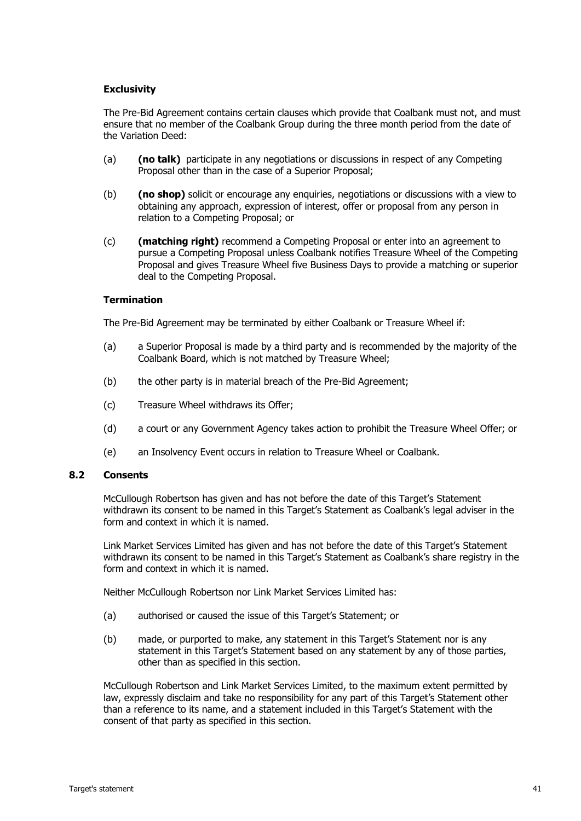#### **Exclusivity**

The Pre-Bid Agreement contains certain clauses which provide that Coalbank must not, and must ensure that no member of the Coalbank Group during the three month period from the date of the Variation Deed:

- (a) **(no talk)** participate in any negotiations or discussions in respect of any Competing Proposal other than in the case of a Superior Proposal;
- (b) **(no shop)** solicit or encourage any enquiries, negotiations or discussions with a view to obtaining any approach, expression of interest, offer or proposal from any person in relation to a Competing Proposal; or
- (c) **(matching right)** recommend a Competing Proposal or enter into an agreement to pursue a Competing Proposal unless Coalbank notifies Treasure Wheel of the Competing Proposal and gives Treasure Wheel five Business Days to provide a matching or superior deal to the Competing Proposal.

#### **Termination**

The Pre-Bid Agreement may be terminated by either Coalbank or Treasure Wheel if:

- (a) a Superior Proposal is made by a third party and is recommended by the majority of the Coalbank Board, which is not matched by Treasure Wheel;
- (b) the other party is in material breach of the Pre-Bid Agreement;
- (c) Treasure Wheel withdraws its Offer;
- (d) a court or any Government Agency takes action to prohibit the Treasure Wheel Offer; or
- (e) an Insolvency Event occurs in relation to Treasure Wheel or Coalbank.

#### **8.2 Consents**

McCullough Robertson has given and has not before the date of this Target's Statement withdrawn its consent to be named in this Target's Statement as Coalbank's legal adviser in the form and context in which it is named.

Link Market Services Limited has given and has not before the date of this Target's Statement withdrawn its consent to be named in this Target's Statement as Coalbank's share registry in the form and context in which it is named.

Neither McCullough Robertson nor Link Market Services Limited has:

- (a) authorised or caused the issue of this Target's Statement; or
- (b) made, or purported to make, any statement in this Target's Statement nor is any statement in this Target's Statement based on any statement by any of those parties, other than as specified in this section.

McCullough Robertson and Link Market Services Limited, to the maximum extent permitted by law, expressly disclaim and take no responsibility for any part of this Target's Statement other than a reference to its name, and a statement included in this Target's Statement with the consent of that party as specified in this section.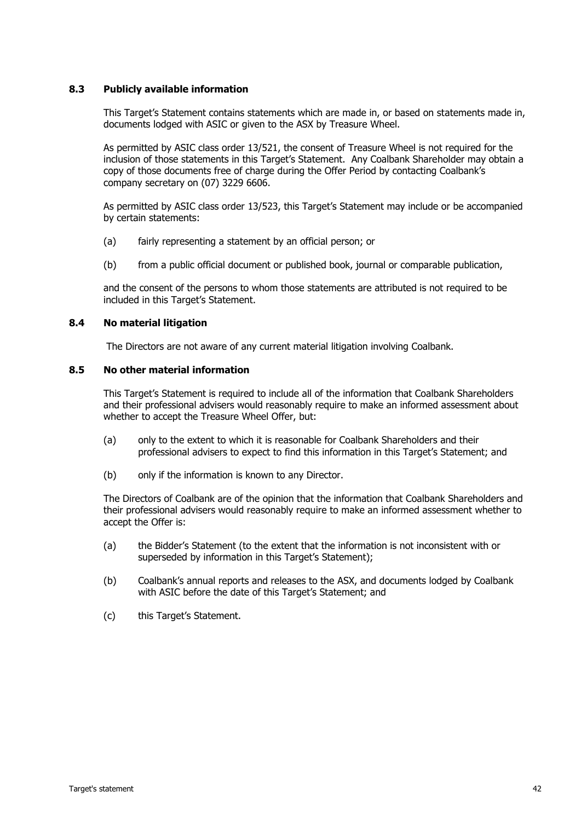#### **8.3 Publicly available information**

This Target's Statement contains statements which are made in, or based on statements made in, documents lodged with ASIC or given to the ASX by Treasure Wheel.

As permitted by ASIC class order 13/521, the consent of Treasure Wheel is not required for the inclusion of those statements in this Target's Statement. Any Coalbank Shareholder may obtain a copy of those documents free of charge during the Offer Period by contacting Coalbank's company secretary on (07) 3229 6606.

As permitted by ASIC class order 13/523, this Target's Statement may include or be accompanied by certain statements:

- (a) fairly representing a statement by an official person; or
- (b) from a public official document or published book, journal or comparable publication,

and the consent of the persons to whom those statements are attributed is not required to be included in this Target's Statement.

#### **8.4 No material litigation**

The Directors are not aware of any current material litigation involving Coalbank.

#### **8.5 No other material information**

This Target's Statement is required to include all of the information that Coalbank Shareholders and their professional advisers would reasonably require to make an informed assessment about whether to accept the Treasure Wheel Offer, but:

- (a) only to the extent to which it is reasonable for Coalbank Shareholders and their professional advisers to expect to find this information in this Target's Statement; and
- (b) only if the information is known to any Director.

The Directors of Coalbank are of the opinion that the information that Coalbank Shareholders and their professional advisers would reasonably require to make an informed assessment whether to accept the Offer is:

- (a) the Bidder's Statement (to the extent that the information is not inconsistent with or superseded by information in this Target's Statement);
- (b) Coalbank's annual reports and releases to the ASX, and documents lodged by Coalbank with ASIC before the date of this Target's Statement; and
- (c) this Target's Statement.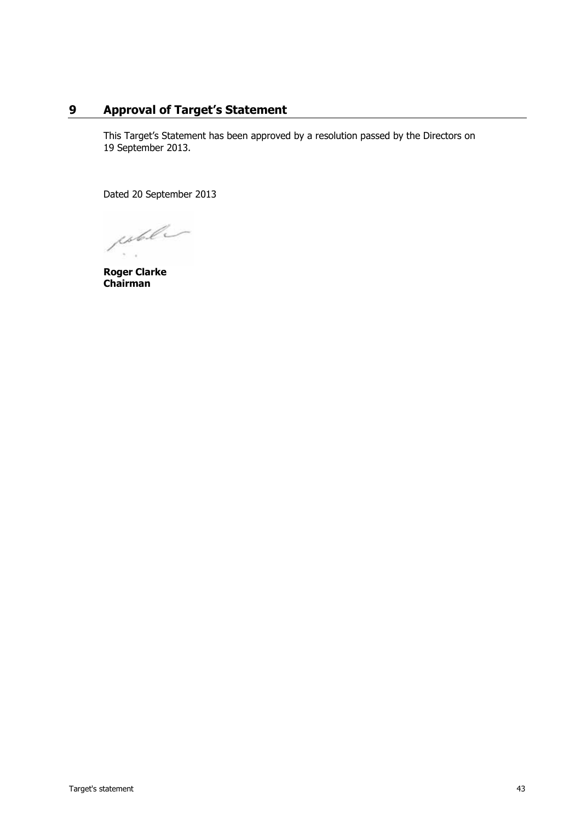#### **9 Approval of Target's Statement**

This Target's Statement has been approved by a resolution passed by the Directors on 19 September 2013.

Dated 20 September 2013

esteller

**Roger Clarke Chairman**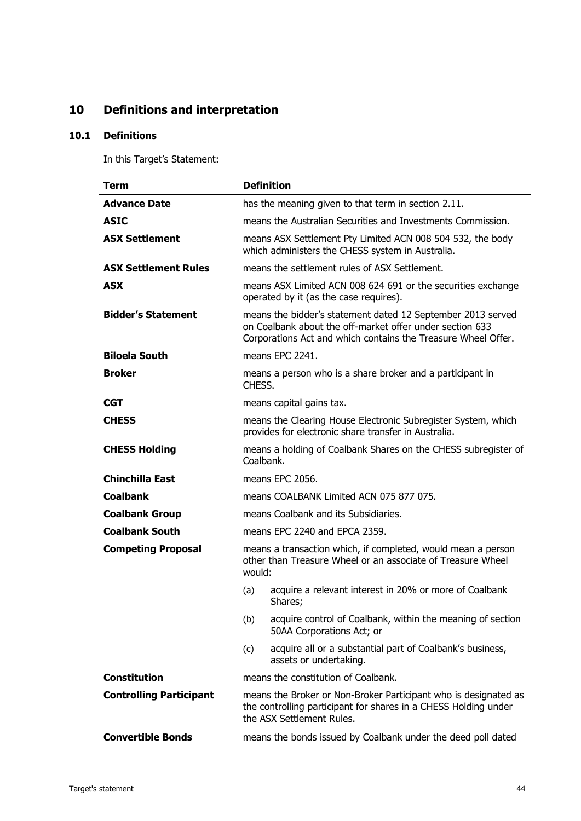### <span id="page-45-0"></span>**10 Definitions and interpretation**

#### **10.1 Definitions**

In this Target's Statement:

| <b>Term</b>                    | <b>Definition</b>                                                                                                                                                                        |  |
|--------------------------------|------------------------------------------------------------------------------------------------------------------------------------------------------------------------------------------|--|
| <b>Advance Date</b>            | has the meaning given to that term in section 2.11.                                                                                                                                      |  |
| <b>ASIC</b>                    | means the Australian Securities and Investments Commission.                                                                                                                              |  |
| <b>ASX Settlement</b>          | means ASX Settlement Pty Limited ACN 008 504 532, the body<br>which administers the CHESS system in Australia.                                                                           |  |
| <b>ASX Settlement Rules</b>    | means the settlement rules of ASX Settlement.                                                                                                                                            |  |
| <b>ASX</b>                     | means ASX Limited ACN 008 624 691 or the securities exchange<br>operated by it (as the case requires).                                                                                   |  |
| <b>Bidder's Statement</b>      | means the bidder's statement dated 12 September 2013 served<br>on Coalbank about the off-market offer under section 633<br>Corporations Act and which contains the Treasure Wheel Offer. |  |
| <b>Biloela South</b>           | means EPC 2241.                                                                                                                                                                          |  |
| Broker                         | means a person who is a share broker and a participant in<br>CHESS.                                                                                                                      |  |
| <b>CGT</b>                     | means capital gains tax.                                                                                                                                                                 |  |
| <b>CHESS</b>                   | means the Clearing House Electronic Subregister System, which<br>provides for electronic share transfer in Australia.                                                                    |  |
| <b>CHESS Holding</b>           | means a holding of Coalbank Shares on the CHESS subregister of<br>Coalbank.                                                                                                              |  |
| <b>Chinchilla East</b>         | means EPC 2056.                                                                                                                                                                          |  |
| <b>Coalbank</b>                | means COALBANK Limited ACN 075 877 075.                                                                                                                                                  |  |
| <b>Coalbank Group</b>          | means Coalbank and its Subsidiaries.                                                                                                                                                     |  |
| <b>Coalbank South</b>          | means EPC 2240 and EPCA 2359.                                                                                                                                                            |  |
| <b>Competing Proposal</b>      | means a transaction which, if completed, would mean a person<br>other than Treasure Wheel or an associate of Treasure Wheel<br>would:                                                    |  |
|                                | acquire a relevant interest in 20% or more of Coalbank<br>(a)<br>Shares;                                                                                                                 |  |
|                                | acquire control of Coalbank, within the meaning of section<br>(b)<br>50AA Corporations Act; or                                                                                           |  |
|                                | acquire all or a substantial part of Coalbank's business,<br>(c)<br>assets or undertaking.                                                                                               |  |
| <b>Constitution</b>            | means the constitution of Coalbank.                                                                                                                                                      |  |
| <b>Controlling Participant</b> | means the Broker or Non-Broker Participant who is designated as<br>the controlling participant for shares in a CHESS Holding under<br>the ASX Settlement Rules.                          |  |
| <b>Convertible Bonds</b>       | means the bonds issued by Coalbank under the deed poll dated                                                                                                                             |  |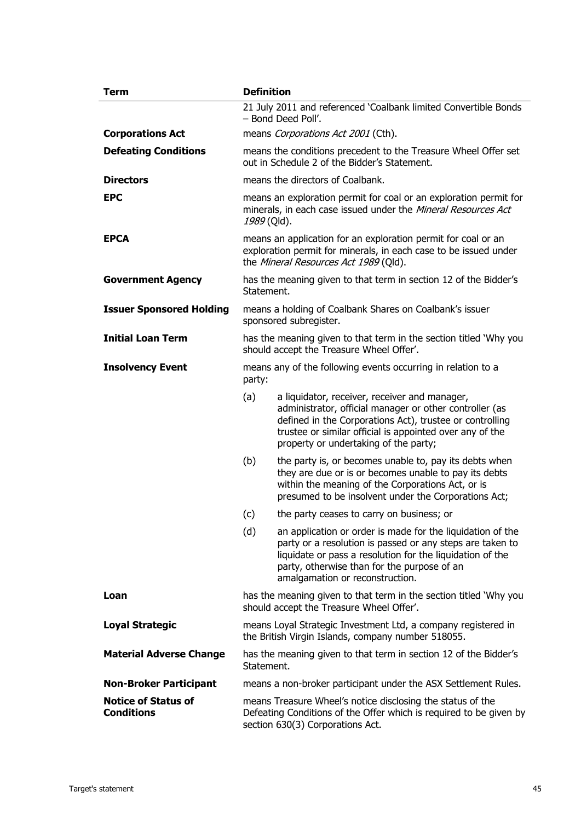| <b>Term</b>                                     | <b>Definition</b>                                                                                                                                                          |                                                                                                                                                                                                                                                                           |
|-------------------------------------------------|----------------------------------------------------------------------------------------------------------------------------------------------------------------------------|---------------------------------------------------------------------------------------------------------------------------------------------------------------------------------------------------------------------------------------------------------------------------|
|                                                 |                                                                                                                                                                            | 21 July 2011 and referenced 'Coalbank limited Convertible Bonds<br>- Bond Deed Poll'.                                                                                                                                                                                     |
| <b>Corporations Act</b>                         | means Corporations Act 2001 (Cth).                                                                                                                                         |                                                                                                                                                                                                                                                                           |
| <b>Defeating Conditions</b>                     | means the conditions precedent to the Treasure Wheel Offer set<br>out in Schedule 2 of the Bidder's Statement.                                                             |                                                                                                                                                                                                                                                                           |
| <b>Directors</b>                                | means the directors of Coalbank.                                                                                                                                           |                                                                                                                                                                                                                                                                           |
| <b>EPC</b>                                      | means an exploration permit for coal or an exploration permit for<br>minerals, in each case issued under the Mineral Resources Act<br>1989 (Qld).                          |                                                                                                                                                                                                                                                                           |
| <b>EPCA</b>                                     | means an application for an exploration permit for coal or an<br>exploration permit for minerals, in each case to be issued under<br>the Mineral Resources Act 1989 (Qld). |                                                                                                                                                                                                                                                                           |
| <b>Government Agency</b>                        | has the meaning given to that term in section 12 of the Bidder's<br>Statement.                                                                                             |                                                                                                                                                                                                                                                                           |
| <b>Issuer Sponsored Holding</b>                 | means a holding of Coalbank Shares on Coalbank's issuer<br>sponsored subregister.                                                                                          |                                                                                                                                                                                                                                                                           |
| <b>Initial Loan Term</b>                        | has the meaning given to that term in the section titled 'Why you<br>should accept the Treasure Wheel Offer'.                                                              |                                                                                                                                                                                                                                                                           |
| <b>Insolvency Event</b>                         | means any of the following events occurring in relation to a<br>party:                                                                                                     |                                                                                                                                                                                                                                                                           |
|                                                 | (a)                                                                                                                                                                        | a liquidator, receiver, receiver and manager,<br>administrator, official manager or other controller (as<br>defined in the Corporations Act), trustee or controlling<br>trustee or similar official is appointed over any of the<br>property or undertaking of the party; |
|                                                 | (b)                                                                                                                                                                        | the party is, or becomes unable to, pay its debts when<br>they are due or is or becomes unable to pay its debts<br>within the meaning of the Corporations Act, or is<br>presumed to be insolvent under the Corporations Act;                                              |
|                                                 | (c)                                                                                                                                                                        | the party ceases to carry on business; or                                                                                                                                                                                                                                 |
|                                                 | (d)                                                                                                                                                                        | an application or order is made for the liquidation of the<br>party or a resolution is passed or any steps are taken to<br>liquidate or pass a resolution for the liquidation of the<br>party, otherwise than for the purpose of an<br>amalgamation or reconstruction.    |
| Loan                                            | has the meaning given to that term in the section titled 'Why you<br>should accept the Treasure Wheel Offer'.                                                              |                                                                                                                                                                                                                                                                           |
| <b>Loyal Strategic</b>                          | means Loyal Strategic Investment Ltd, a company registered in<br>the British Virgin Islands, company number 518055.                                                        |                                                                                                                                                                                                                                                                           |
| <b>Material Adverse Change</b>                  | has the meaning given to that term in section 12 of the Bidder's<br>Statement.                                                                                             |                                                                                                                                                                                                                                                                           |
| <b>Non-Broker Participant</b>                   | means a non-broker participant under the ASX Settlement Rules.                                                                                                             |                                                                                                                                                                                                                                                                           |
| <b>Notice of Status of</b><br><b>Conditions</b> | means Treasure Wheel's notice disclosing the status of the<br>Defeating Conditions of the Offer which is required to be given by<br>section 630(3) Corporations Act.       |                                                                                                                                                                                                                                                                           |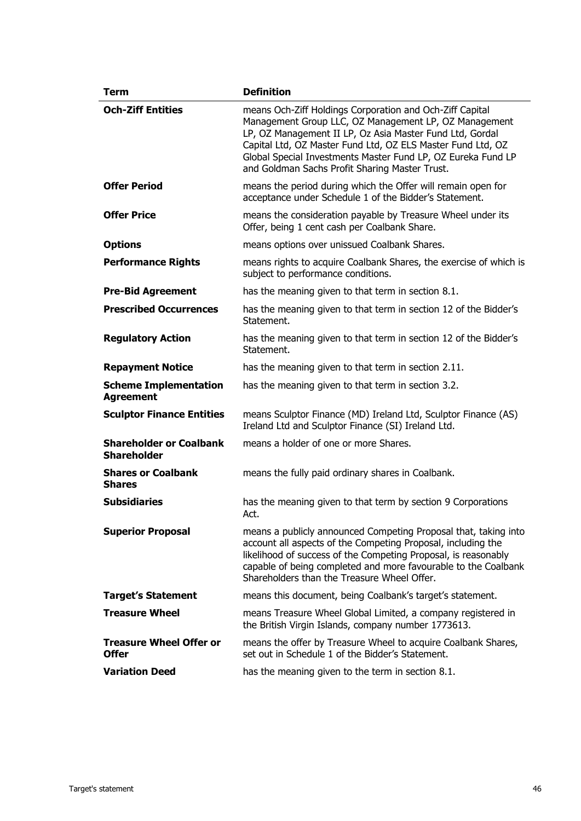| <b>Term</b>                                          | <b>Definition</b>                                                                                                                                                                                                                                                                                                                                              |  |
|------------------------------------------------------|----------------------------------------------------------------------------------------------------------------------------------------------------------------------------------------------------------------------------------------------------------------------------------------------------------------------------------------------------------------|--|
| <b>Och-Ziff Entities</b>                             | means Och-Ziff Holdings Corporation and Och-Ziff Capital<br>Management Group LLC, OZ Management LP, OZ Management<br>LP, OZ Management II LP, Oz Asia Master Fund Ltd, Gordal<br>Capital Ltd, OZ Master Fund Ltd, OZ ELS Master Fund Ltd, OZ<br>Global Special Investments Master Fund LP, OZ Eureka Fund LP<br>and Goldman Sachs Profit Sharing Master Trust. |  |
| <b>Offer Period</b>                                  | means the period during which the Offer will remain open for<br>acceptance under Schedule 1 of the Bidder's Statement.                                                                                                                                                                                                                                         |  |
| <b>Offer Price</b>                                   | means the consideration payable by Treasure Wheel under its<br>Offer, being 1 cent cash per Coalbank Share.                                                                                                                                                                                                                                                    |  |
| <b>Options</b>                                       | means options over unissued Coalbank Shares.                                                                                                                                                                                                                                                                                                                   |  |
| <b>Performance Rights</b>                            | means rights to acquire Coalbank Shares, the exercise of which is<br>subject to performance conditions.                                                                                                                                                                                                                                                        |  |
| <b>Pre-Bid Agreement</b>                             | has the meaning given to that term in section 8.1.                                                                                                                                                                                                                                                                                                             |  |
| <b>Prescribed Occurrences</b>                        | has the meaning given to that term in section 12 of the Bidder's<br>Statement.                                                                                                                                                                                                                                                                                 |  |
| <b>Regulatory Action</b>                             | has the meaning given to that term in section 12 of the Bidder's<br>Statement.                                                                                                                                                                                                                                                                                 |  |
| <b>Repayment Notice</b>                              | has the meaning given to that term in section 2.11.                                                                                                                                                                                                                                                                                                            |  |
| <b>Scheme Implementation</b><br><b>Agreement</b>     | has the meaning given to that term in section 3.2.                                                                                                                                                                                                                                                                                                             |  |
| <b>Sculptor Finance Entities</b>                     | means Sculptor Finance (MD) Ireland Ltd, Sculptor Finance (AS)<br>Ireland Ltd and Sculptor Finance (SI) Ireland Ltd.                                                                                                                                                                                                                                           |  |
| <b>Shareholder or Coalbank</b><br><b>Shareholder</b> | means a holder of one or more Shares.                                                                                                                                                                                                                                                                                                                          |  |
| <b>Shares or Coalbank</b><br><b>Shares</b>           | means the fully paid ordinary shares in Coalbank.                                                                                                                                                                                                                                                                                                              |  |
| <b>Subsidiaries</b>                                  | has the meaning given to that term by section 9 Corporations<br>Act.                                                                                                                                                                                                                                                                                           |  |
| <b>Superior Proposal</b>                             | means a publicly announced Competing Proposal that, taking into<br>account all aspects of the Competing Proposal, including the<br>likelihood of success of the Competing Proposal, is reasonably<br>capable of being completed and more favourable to the Coalbank<br>Shareholders than the Treasure Wheel Offer.                                             |  |
| <b>Target's Statement</b>                            | means this document, being Coalbank's target's statement.                                                                                                                                                                                                                                                                                                      |  |
| <b>Treasure Wheel</b>                                | means Treasure Wheel Global Limited, a company registered in<br>the British Virgin Islands, company number 1773613.                                                                                                                                                                                                                                            |  |
| <b>Treasure Wheel Offer or</b><br><b>Offer</b>       | means the offer by Treasure Wheel to acquire Coalbank Shares,<br>set out in Schedule 1 of the Bidder's Statement.                                                                                                                                                                                                                                              |  |
| <b>Variation Deed</b>                                | has the meaning given to the term in section 8.1.                                                                                                                                                                                                                                                                                                              |  |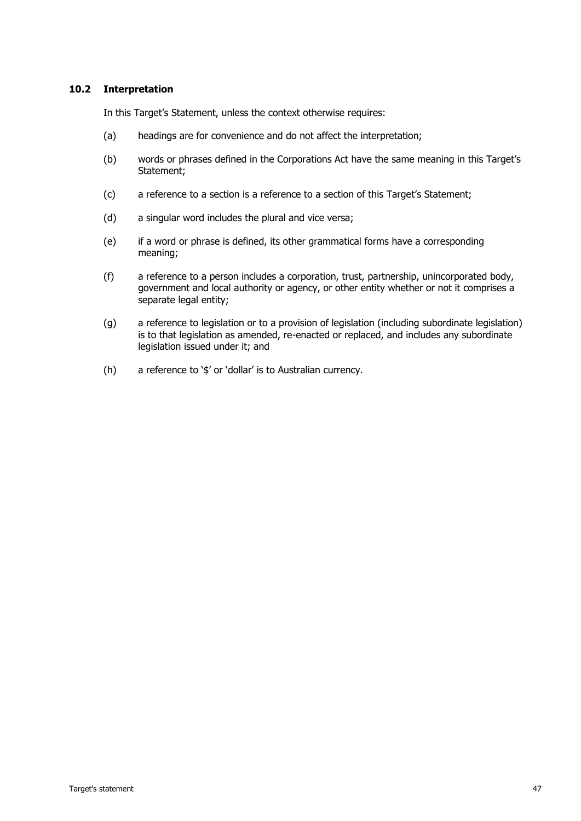#### **10.2 Interpretation**

In this Target's Statement, unless the context otherwise requires:

- (a) headings are for convenience and do not affect the interpretation;
- (b) words or phrases defined in the Corporations Act have the same meaning in this Target's Statement;
- (c) a reference to a section is a reference to a section of this Target's Statement;
- (d) a singular word includes the plural and vice versa;
- (e) if a word or phrase is defined, its other grammatical forms have a corresponding meaning;
- (f) a reference to a person includes a corporation, trust, partnership, unincorporated body, government and local authority or agency, or other entity whether or not it comprises a separate legal entity;
- (g) a reference to legislation or to a provision of legislation (including subordinate legislation) is to that legislation as amended, re-enacted or replaced, and includes any subordinate legislation issued under it; and
- (h) a reference to '\$' or 'dollar' is to Australian currency.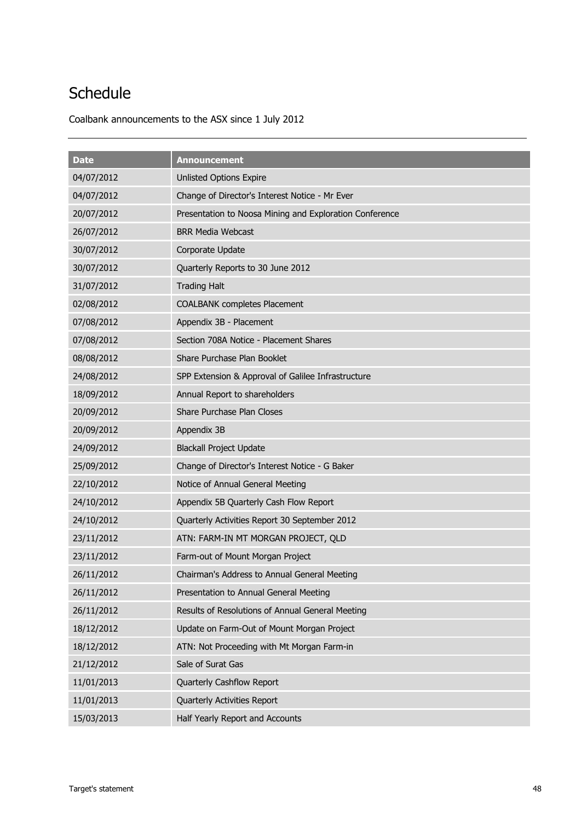## **Schedule**

Coalbank announcements to the ASX since 1 July 2012

| <b>Date</b> | <b>Announcement</b>                                     |
|-------------|---------------------------------------------------------|
| 04/07/2012  | <b>Unlisted Options Expire</b>                          |
| 04/07/2012  | Change of Director's Interest Notice - Mr Ever          |
| 20/07/2012  | Presentation to Noosa Mining and Exploration Conference |
| 26/07/2012  | <b>BRR Media Webcast</b>                                |
| 30/07/2012  | Corporate Update                                        |
| 30/07/2012  | Quarterly Reports to 30 June 2012                       |
| 31/07/2012  | <b>Trading Halt</b>                                     |
| 02/08/2012  | <b>COALBANK completes Placement</b>                     |
| 07/08/2012  | Appendix 3B - Placement                                 |
| 07/08/2012  | Section 708A Notice - Placement Shares                  |
| 08/08/2012  | Share Purchase Plan Booklet                             |
| 24/08/2012  | SPP Extension & Approval of Galilee Infrastructure      |
| 18/09/2012  | Annual Report to shareholders                           |
| 20/09/2012  | Share Purchase Plan Closes                              |
| 20/09/2012  | Appendix 3B                                             |
| 24/09/2012  | <b>Blackall Project Update</b>                          |
| 25/09/2012  | Change of Director's Interest Notice - G Baker          |
| 22/10/2012  | Notice of Annual General Meeting                        |
| 24/10/2012  | Appendix 5B Quarterly Cash Flow Report                  |
| 24/10/2012  | Quarterly Activities Report 30 September 2012           |
| 23/11/2012  | ATN: FARM-IN MT MORGAN PROJECT, QLD                     |
| 23/11/2012  | Farm-out of Mount Morgan Project                        |
| 26/11/2012  | Chairman's Address to Annual General Meeting            |
| 26/11/2012  | Presentation to Annual General Meeting                  |
| 26/11/2012  | Results of Resolutions of Annual General Meeting        |
| 18/12/2012  | Update on Farm-Out of Mount Morgan Project              |
| 18/12/2012  | ATN: Not Proceeding with Mt Morgan Farm-in              |
| 21/12/2012  | Sale of Surat Gas                                       |
| 11/01/2013  | Quarterly Cashflow Report                               |
| 11/01/2013  | Quarterly Activities Report                             |
| 15/03/2013  | Half Yearly Report and Accounts                         |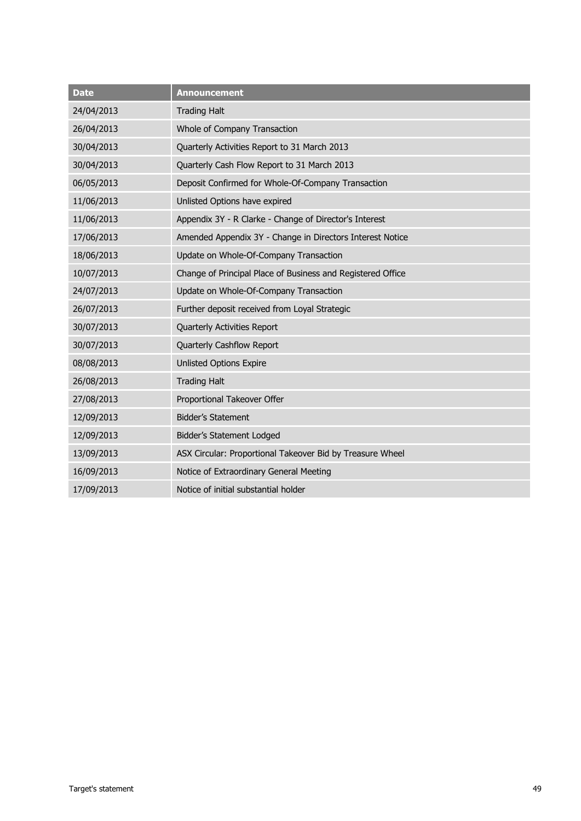| <b>Date</b> | <b>Announcement</b>                                         |
|-------------|-------------------------------------------------------------|
| 24/04/2013  | <b>Trading Halt</b>                                         |
| 26/04/2013  | Whole of Company Transaction                                |
| 30/04/2013  | Quarterly Activities Report to 31 March 2013                |
| 30/04/2013  | Quarterly Cash Flow Report to 31 March 2013                 |
| 06/05/2013  | Deposit Confirmed for Whole-Of-Company Transaction          |
| 11/06/2013  | Unlisted Options have expired                               |
| 11/06/2013  | Appendix 3Y - R Clarke - Change of Director's Interest      |
| 17/06/2013  | Amended Appendix 3Y - Change in Directors Interest Notice   |
| 18/06/2013  | Update on Whole-Of-Company Transaction                      |
| 10/07/2013  | Change of Principal Place of Business and Registered Office |
| 24/07/2013  | Update on Whole-Of-Company Transaction                      |
| 26/07/2013  | Further deposit received from Loyal Strategic               |
| 30/07/2013  | Quarterly Activities Report                                 |
| 30/07/2013  | Quarterly Cashflow Report                                   |
| 08/08/2013  | <b>Unlisted Options Expire</b>                              |
| 26/08/2013  | <b>Trading Halt</b>                                         |
| 27/08/2013  | Proportional Takeover Offer                                 |
| 12/09/2013  | <b>Bidder's Statement</b>                                   |
| 12/09/2013  | Bidder's Statement Lodged                                   |
| 13/09/2013  | ASX Circular: Proportional Takeover Bid by Treasure Wheel   |
| 16/09/2013  | Notice of Extraordinary General Meeting                     |
| 17/09/2013  | Notice of initial substantial holder                        |